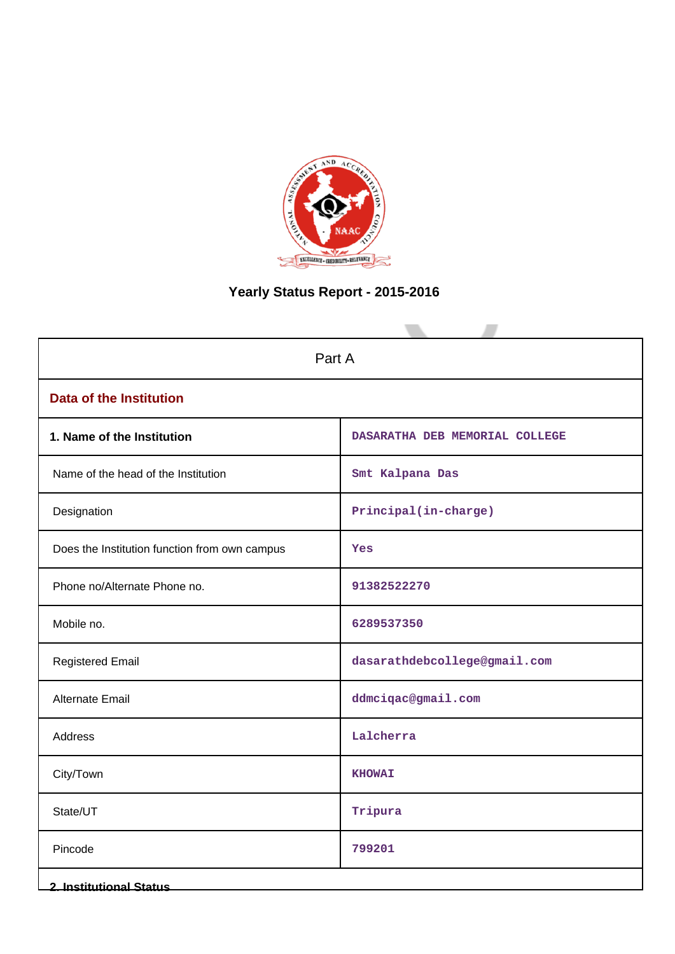

# **Yearly Status Report - 2015-2016**

| Part A                                        |                                |  |  |  |  |  |  |
|-----------------------------------------------|--------------------------------|--|--|--|--|--|--|
| <b>Data of the Institution</b>                |                                |  |  |  |  |  |  |
| 1. Name of the Institution                    | DASARATHA DEB MEMORIAL COLLEGE |  |  |  |  |  |  |
| Name of the head of the Institution           | Smt Kalpana Das                |  |  |  |  |  |  |
| Designation                                   | Principal(in-charge)           |  |  |  |  |  |  |
| Does the Institution function from own campus | Yes                            |  |  |  |  |  |  |
| Phone no/Alternate Phone no.                  | 91382522270                    |  |  |  |  |  |  |
| Mobile no.                                    | 6289537350                     |  |  |  |  |  |  |
| <b>Registered Email</b>                       | dasarathdebcollege@gmail.com   |  |  |  |  |  |  |
| Alternate Email                               | ddmciqac@gmail.com             |  |  |  |  |  |  |
| Address                                       | Lalcherra                      |  |  |  |  |  |  |
| City/Town                                     | <b>KHOWAI</b>                  |  |  |  |  |  |  |
| State/UT                                      | Tripura                        |  |  |  |  |  |  |
| Pincode                                       | 799201                         |  |  |  |  |  |  |
| <b>2. Institutional Status</b>                |                                |  |  |  |  |  |  |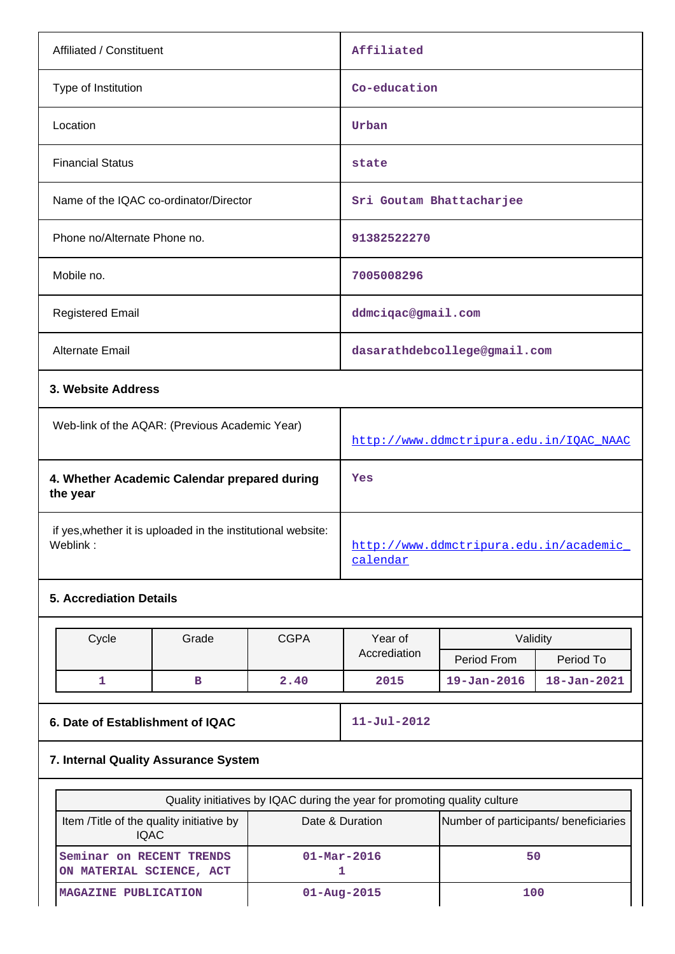| Affiliated / Constituent                                                 |              |             | Affiliated                                         |                              |                   |  |  |
|--------------------------------------------------------------------------|--------------|-------------|----------------------------------------------------|------------------------------|-------------------|--|--|
| Type of Institution                                                      |              |             |                                                    | Co-education                 |                   |  |  |
| Location                                                                 |              |             | Urban                                              |                              |                   |  |  |
| <b>Financial Status</b>                                                  |              |             | state                                              |                              |                   |  |  |
| Name of the IQAC co-ordinator/Director                                   |              |             |                                                    | Sri Goutam Bhattacharjee     |                   |  |  |
| Phone no/Alternate Phone no.                                             |              |             | 91382522270                                        |                              |                   |  |  |
| Mobile no.                                                               |              |             | 7005008296                                         |                              |                   |  |  |
| <b>Registered Email</b>                                                  |              |             | ddmciqac@gmail.com                                 |                              |                   |  |  |
| Alternate Email                                                          |              |             |                                                    | dasarathdebcollege@gmail.com |                   |  |  |
| 3. Website Address                                                       |              |             |                                                    |                              |                   |  |  |
| Web-link of the AQAR: (Previous Academic Year)                           |              |             | http://www.ddmctripura.edu.in/IQAC_NAAC            |                              |                   |  |  |
| 4. Whether Academic Calendar prepared during<br>the year                 |              |             | Yes                                                |                              |                   |  |  |
| if yes, whether it is uploaded in the institutional website:<br>Weblink: |              |             | http://www.ddmctripura.edu.in/academic<br>calendar |                              |                   |  |  |
| <b>5. Accrediation Details</b>                                           |              |             |                                                    |                              |                   |  |  |
| Cycle                                                                    | Grade        | <b>CGPA</b> | Year of                                            | Validity                     |                   |  |  |
|                                                                          |              |             | Accrediation                                       | Period From                  | Period To         |  |  |
| 1                                                                        | $\, {\bf B}$ | 2.40        | 2015                                               | $19 - Jan - 2016$            | $18 - Jan - 2021$ |  |  |
| 6. Date of Establishment of IQAC                                         |              |             | $11 - Jul - 2012$                                  |                              |                   |  |  |
| 7. Internal Quality Assurance System                                     |              |             |                                                    |                              |                   |  |  |
|                                                                          |              |             |                                                    |                              |                   |  |  |

| Quality initiatives by IQAC during the year for promoting quality culture |                                       |     |  |  |  |  |  |
|---------------------------------------------------------------------------|---------------------------------------|-----|--|--|--|--|--|
| Item /Title of the quality initiative by<br><b>IQAC</b>                   | Number of participants/ beneficiaries |     |  |  |  |  |  |
| Seminar on RECENT TRENDS<br>ON MATERIAL SCIENCE, ACT                      | $01 - \text{Mar} - 2016$              | 50  |  |  |  |  |  |
| MAGAZINE PUBLICATION                                                      | $01 - Aug - 2015$                     | 100 |  |  |  |  |  |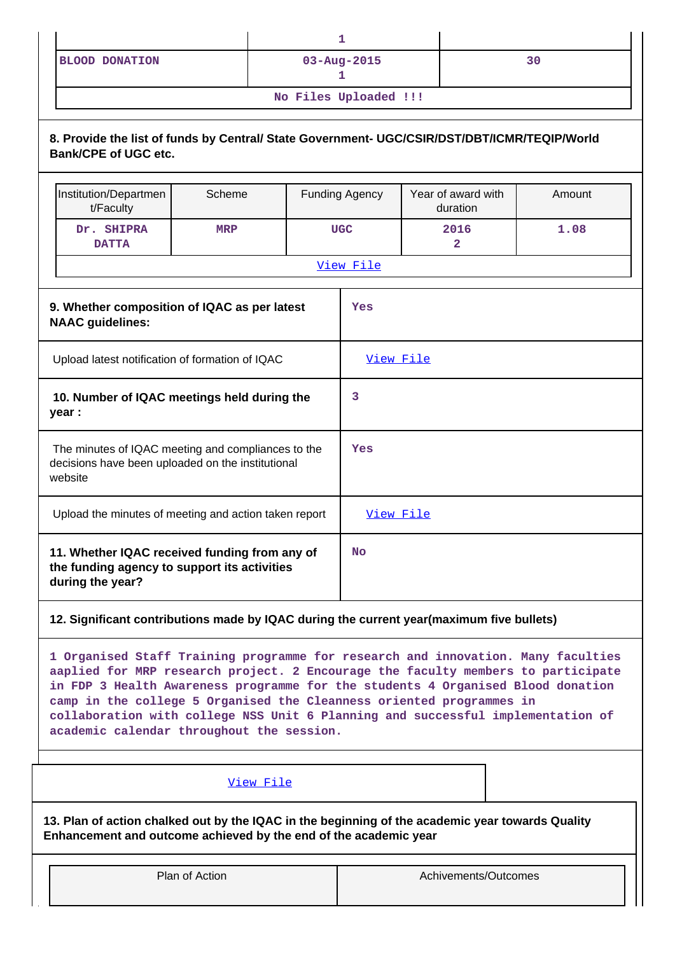| <b>BLOOD DONATION</b> | $03 - Aug - 2015$ | 30 |  |  |  |  |  |
|-----------------------|-------------------|----|--|--|--|--|--|
| No Files Uploaded !!! |                   |    |  |  |  |  |  |

# **8. Provide the list of funds by Central/ State Government- UGC/CSIR/DST/DBT/ICMR/TEQIP/World Bank/CPE of UGC etc.**

| Institution/Departmen<br>t/Faculty                                                                                 | Scheme     |  | <b>Funding Agency</b> | Year of award with<br>duration | Amount |  |  |
|--------------------------------------------------------------------------------------------------------------------|------------|--|-----------------------|--------------------------------|--------|--|--|
| Dr. SHIPRA<br><b>DATTA</b>                                                                                         | <b>MRP</b> |  | <b>UGC</b>            | 2016<br>$\mathbf{2}$           | 1.08   |  |  |
|                                                                                                                    |            |  | View File             |                                |        |  |  |
| 9. Whether composition of IQAC as per latest<br><b>NAAC</b> guidelines:                                            |            |  | Yes                   |                                |        |  |  |
| Upload latest notification of formation of IQAC                                                                    |            |  | View File             |                                |        |  |  |
| 10. Number of IQAC meetings held during the<br>year :                                                              |            |  |                       | 3                              |        |  |  |
| The minutes of IQAC meeting and compliances to the<br>decisions have been uploaded on the institutional<br>website |            |  | Yes                   |                                |        |  |  |
| Upload the minutes of meeting and action taken report                                                              |            |  | View File             |                                |        |  |  |
| 11. Whether IQAC received funding from any of<br>the funding agency to support its activities<br>during the year?  |            |  |                       |                                |        |  |  |

## **12. Significant contributions made by IQAC during the current year(maximum five bullets)**

**1 Organised Staff Training programme for research and innovation. Many faculties aaplied for MRP research project. 2 Encourage the faculty members to participate in FDP 3 Health Awareness programme for the students 4 Organised Blood donation camp in the college 5 Organised the Cleanness oriented programmes in collaboration with college NSS Unit 6 Planning and successful implementation of academic calendar throughout the session.**

### [View File](https://assessmentonline.naac.gov.in/public/Postacc/Contribution/10499_Contribution.xlsx)

**13. Plan of action chalked out by the IQAC in the beginning of the academic year towards Quality Enhancement and outcome achieved by the end of the academic year**

| Plan of Action | Achivements/Outcomes |
|----------------|----------------------|
|                |                      |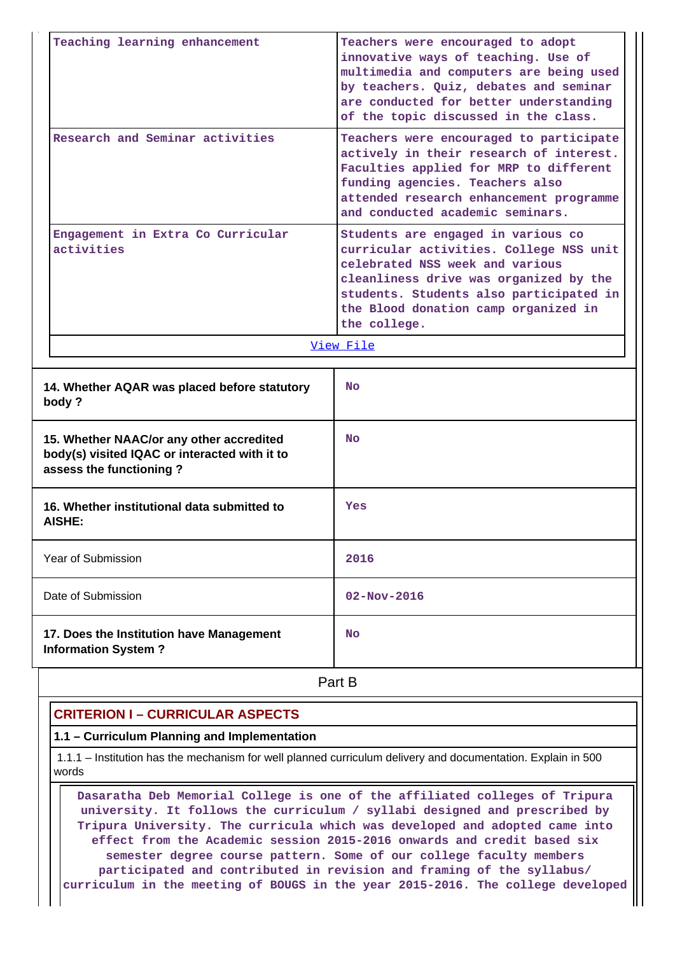| Teaching learning enhancement                                                                                        | Teachers were encouraged to adopt<br>innovative ways of teaching. Use of<br>multimedia and computers are being used<br>by teachers. Quiz, debates and seminar<br>are conducted for better understanding<br>of the topic discussed in the class.               |  |  |  |  |  |
|----------------------------------------------------------------------------------------------------------------------|---------------------------------------------------------------------------------------------------------------------------------------------------------------------------------------------------------------------------------------------------------------|--|--|--|--|--|
| Research and Seminar activities                                                                                      | Teachers were encouraged to participate<br>actively in their research of interest.<br>Faculties applied for MRP to different<br>funding agencies. Teachers also<br>attended research enhancement programme<br>and conducted academic seminars.                |  |  |  |  |  |
| Engagement in Extra Co Curricular<br>activities                                                                      | Students are engaged in various co<br>curricular activities. College NSS unit<br>celebrated NSS week and various<br>cleanliness drive was organized by the<br>students. Students also participated in<br>the Blood donation camp organized in<br>the college. |  |  |  |  |  |
|                                                                                                                      | View File                                                                                                                                                                                                                                                     |  |  |  |  |  |
| 14. Whether AQAR was placed before statutory<br>body?                                                                | <b>No</b>                                                                                                                                                                                                                                                     |  |  |  |  |  |
| 15. Whether NAAC/or any other accredited<br>body(s) visited IQAC or interacted with it to<br>assess the functioning? | No.                                                                                                                                                                                                                                                           |  |  |  |  |  |
| 16. Whether institutional data submitted to<br>AISHE:                                                                | Yes                                                                                                                                                                                                                                                           |  |  |  |  |  |
| Year of Submission                                                                                                   | 2016                                                                                                                                                                                                                                                          |  |  |  |  |  |
| Date of Submission                                                                                                   | $02 - Nov - 2016$                                                                                                                                                                                                                                             |  |  |  |  |  |
| 17. Does the Institution have Management<br><b>Information System?</b>                                               | <b>No</b>                                                                                                                                                                                                                                                     |  |  |  |  |  |
|                                                                                                                      | Part B                                                                                                                                                                                                                                                        |  |  |  |  |  |

# **CRITERION I – CURRICULAR ASPECTS**

## **1.1 – Curriculum Planning and Implementation**

 1.1.1 – Institution has the mechanism for well planned curriculum delivery and documentation. Explain in 500 words

 **Dasaratha Deb Memorial College is one of the affiliated colleges of Tripura university. It follows the curriculum / syllabi designed and prescribed by Tripura University. The curricula which was developed and adopted came into effect from the Academic session 2015-2016 onwards and credit based six semester degree course pattern. Some of our college faculty members participated and contributed in revision and framing of the syllabus/ curriculum in the meeting of BOUGS in the year 2015-2016. The college developed**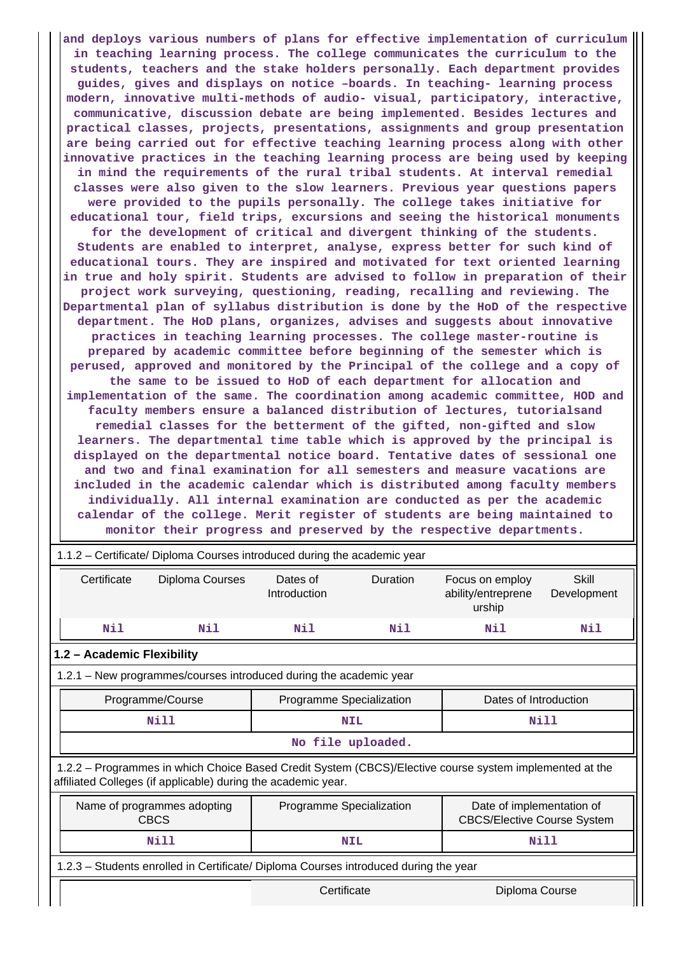**and deploys various numbers of plans for effective implementation of curriculum in teaching learning process. The college communicates the curriculum to the students, teachers and the stake holders personally. Each department provides guides, gives and displays on notice –boards. In teaching- learning process modern, innovative multi-methods of audio- visual, participatory, interactive, communicative, discussion debate are being implemented. Besides lectures and practical classes, projects, presentations, assignments and group presentation are being carried out for effective teaching learning process along with other innovative practices in the teaching learning process are being used by keeping in mind the requirements of the rural tribal students. At interval remedial classes were also given to the slow learners. Previous year questions papers were provided to the pupils personally. The college takes initiative for educational tour, field trips, excursions and seeing the historical monuments for the development of critical and divergent thinking of the students. Students are enabled to interpret, analyse, express better for such kind of educational tours. They are inspired and motivated for text oriented learning in true and holy spirit. Students are advised to follow in preparation of their project work surveying, questioning, reading, recalling and reviewing. The Departmental plan of syllabus distribution is done by the HoD of the respective department. The HoD plans, organizes, advises and suggests about innovative practices in teaching learning processes. The college master-routine is prepared by academic committee before beginning of the semester which is perused, approved and monitored by the Principal of the college and a copy of the same to be issued to HoD of each department for allocation and implementation of the same. The coordination among academic committee, HOD and faculty members ensure a balanced distribution of lectures, tutorialsand remedial classes for the betterment of the gifted, non-gifted and slow learners. The departmental time table which is approved by the principal is displayed on the departmental notice board. Tentative dates of sessional one and two and final examination for all semesters and measure vacations are included in the academic calendar which is distributed among faculty members individually. All internal examination are conducted as per the academic calendar of the college. Merit register of students are being maintained to monitor their progress and preserved by the respective departments.**

|                                                                    | 1.1.2 - Certificate/ Diploma Courses introduced during the academic year |                                                                                                                                                                          |                          |                   |                                                                 |                      |  |  |  |  |
|--------------------------------------------------------------------|--------------------------------------------------------------------------|--------------------------------------------------------------------------------------------------------------------------------------------------------------------------|--------------------------|-------------------|-----------------------------------------------------------------|----------------------|--|--|--|--|
|                                                                    | Certificate                                                              | Diploma Courses                                                                                                                                                          | Dates of<br>Introduction | <b>Duration</b>   | Focus on employ<br>ability/entreprene<br>urship                 | Skill<br>Development |  |  |  |  |
|                                                                    | Nil                                                                      | Nil                                                                                                                                                                      | Nil                      | Nil               | Nil                                                             | Nil                  |  |  |  |  |
|                                                                    | 1.2 - Academic Flexibility                                               |                                                                                                                                                                          |                          |                   |                                                                 |                      |  |  |  |  |
| 1.2.1 - New programmes/courses introduced during the academic year |                                                                          |                                                                                                                                                                          |                          |                   |                                                                 |                      |  |  |  |  |
|                                                                    |                                                                          | Programme/Course                                                                                                                                                         | Programme Specialization |                   | Dates of Introduction                                           |                      |  |  |  |  |
|                                                                    |                                                                          | Nill                                                                                                                                                                     |                          | <b>NIL</b>        | Nill                                                            |                      |  |  |  |  |
|                                                                    |                                                                          |                                                                                                                                                                          |                          | No file uploaded. |                                                                 |                      |  |  |  |  |
|                                                                    |                                                                          | 1.2.2 - Programmes in which Choice Based Credit System (CBCS)/Elective course system implemented at the<br>affiliated Colleges (if applicable) during the academic year. |                          |                   |                                                                 |                      |  |  |  |  |
|                                                                    |                                                                          | Name of programmes adopting<br><b>CBCS</b>                                                                                                                               | Programme Specialization |                   | Date of implementation of<br><b>CBCS/Elective Course System</b> |                      |  |  |  |  |
|                                                                    |                                                                          | Nill                                                                                                                                                                     |                          | <b>NIL</b>        | <b>Nill</b>                                                     |                      |  |  |  |  |
|                                                                    |                                                                          | 1.2.3 - Students enrolled in Certificate/ Diploma Courses introduced during the year                                                                                     |                          |                   |                                                                 |                      |  |  |  |  |
|                                                                    |                                                                          |                                                                                                                                                                          | Certificate              |                   | Diploma Course                                                  |                      |  |  |  |  |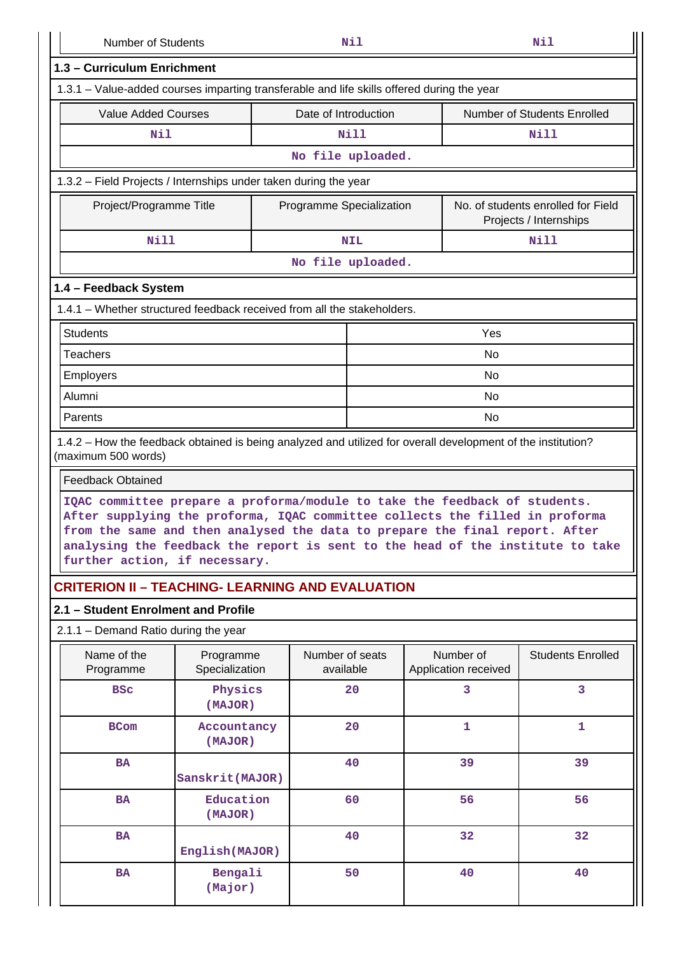| <b>Number of Students</b>                                                                                                                                                                                                                                                                                                                                    |                                                                                   | Nil<br>Nil |                              |                                   |           |                          |  |  |  |
|--------------------------------------------------------------------------------------------------------------------------------------------------------------------------------------------------------------------------------------------------------------------------------------------------------------------------------------------------------------|-----------------------------------------------------------------------------------|------------|------------------------------|-----------------------------------|-----------|--------------------------|--|--|--|
| 1.3 - Curriculum Enrichment                                                                                                                                                                                                                                                                                                                                  |                                                                                   |            |                              |                                   |           |                          |  |  |  |
| 1.3.1 – Value-added courses imparting transferable and life skills offered during the year                                                                                                                                                                                                                                                                   |                                                                                   |            |                              |                                   |           |                          |  |  |  |
|                                                                                                                                                                                                                                                                                                                                                              | <b>Value Added Courses</b><br>Date of Introduction<br>Number of Students Enrolled |            |                              |                                   |           |                          |  |  |  |
| Nil                                                                                                                                                                                                                                                                                                                                                          |                                                                                   |            | <b>Nill</b>                  |                                   | Nill      |                          |  |  |  |
|                                                                                                                                                                                                                                                                                                                                                              |                                                                                   |            | No file uploaded.            |                                   |           |                          |  |  |  |
| 1.3.2 - Field Projects / Internships under taken during the year                                                                                                                                                                                                                                                                                             |                                                                                   |            |                              |                                   |           |                          |  |  |  |
| Project/Programme Title<br>Programme Specialization<br>No. of students enrolled for Field<br>Projects / Internships                                                                                                                                                                                                                                          |                                                                                   |            |                              |                                   |           |                          |  |  |  |
| Nill                                                                                                                                                                                                                                                                                                                                                         |                                                                                   |            | <b>NIL</b>                   |                                   |           | <b>Nill</b>              |  |  |  |
|                                                                                                                                                                                                                                                                                                                                                              |                                                                                   |            | No file uploaded.            |                                   |           |                          |  |  |  |
| 1.4 - Feedback System                                                                                                                                                                                                                                                                                                                                        |                                                                                   |            |                              |                                   |           |                          |  |  |  |
| 1.4.1 - Whether structured feedback received from all the stakeholders.                                                                                                                                                                                                                                                                                      |                                                                                   |            |                              |                                   |           |                          |  |  |  |
| <b>Students</b>                                                                                                                                                                                                                                                                                                                                              |                                                                                   |            |                              |                                   | Yes       |                          |  |  |  |
| <b>Teachers</b>                                                                                                                                                                                                                                                                                                                                              |                                                                                   |            |                              |                                   | No        |                          |  |  |  |
| <b>Employers</b>                                                                                                                                                                                                                                                                                                                                             |                                                                                   |            |                              |                                   | <b>No</b> |                          |  |  |  |
| Alumni                                                                                                                                                                                                                                                                                                                                                       |                                                                                   |            |                              |                                   | <b>No</b> |                          |  |  |  |
| Parents                                                                                                                                                                                                                                                                                                                                                      |                                                                                   |            |                              |                                   | No        |                          |  |  |  |
| 1.4.2 – How the feedback obtained is being analyzed and utilized for overall development of the institution?<br>(maximum 500 words)                                                                                                                                                                                                                          |                                                                                   |            |                              |                                   |           |                          |  |  |  |
| <b>Feedback Obtained</b>                                                                                                                                                                                                                                                                                                                                     |                                                                                   |            |                              |                                   |           |                          |  |  |  |
| IQAC committee prepare a proforma/module to take the feedback of students.<br>After supplying the proforma, IQAC committee collects the filled in proforma<br>from the same and then analysed the data to prepare the final report. After<br>analysing the feedback the report is sent to the head of the institute to take<br>further action, if necessary. |                                                                                   |            |                              |                                   |           |                          |  |  |  |
| <b>CRITERION II – TEACHING- LEARNING AND EVALUATION</b>                                                                                                                                                                                                                                                                                                      |                                                                                   |            |                              |                                   |           |                          |  |  |  |
| 2.1 - Student Enrolment and Profile                                                                                                                                                                                                                                                                                                                          |                                                                                   |            |                              |                                   |           |                          |  |  |  |
| 2.1.1 - Demand Ratio during the year                                                                                                                                                                                                                                                                                                                         |                                                                                   |            |                              |                                   |           |                          |  |  |  |
| Name of the<br>Programme                                                                                                                                                                                                                                                                                                                                     | Programme<br>Specialization                                                       |            | Number of seats<br>available | Number of<br>Application received |           | <b>Students Enrolled</b> |  |  |  |
| <b>BSC</b>                                                                                                                                                                                                                                                                                                                                                   | Physics<br>(MAJOR)                                                                |            | 20                           | 3                                 |           | 3                        |  |  |  |
| <b>BCom</b>                                                                                                                                                                                                                                                                                                                                                  | Accountancy<br>(MAJOR)                                                            |            | 20                           | $\mathbf{1}$                      |           | $\mathbf{1}$             |  |  |  |
| <b>BA</b>                                                                                                                                                                                                                                                                                                                                                    | Sanskrit (MAJOR)                                                                  |            | 40                           | 39                                |           | 39                       |  |  |  |
| <b>BA</b>                                                                                                                                                                                                                                                                                                                                                    | Education<br>(MAJOR)                                                              |            | 60                           | 56                                |           | 56                       |  |  |  |
| BA                                                                                                                                                                                                                                                                                                                                                           | English (MAJOR)                                                                   |            | 40                           | 32                                |           | 32                       |  |  |  |
| <b>BA</b>                                                                                                                                                                                                                                                                                                                                                    | Bengali<br>(Major)                                                                |            | 50                           | 40                                |           | 40                       |  |  |  |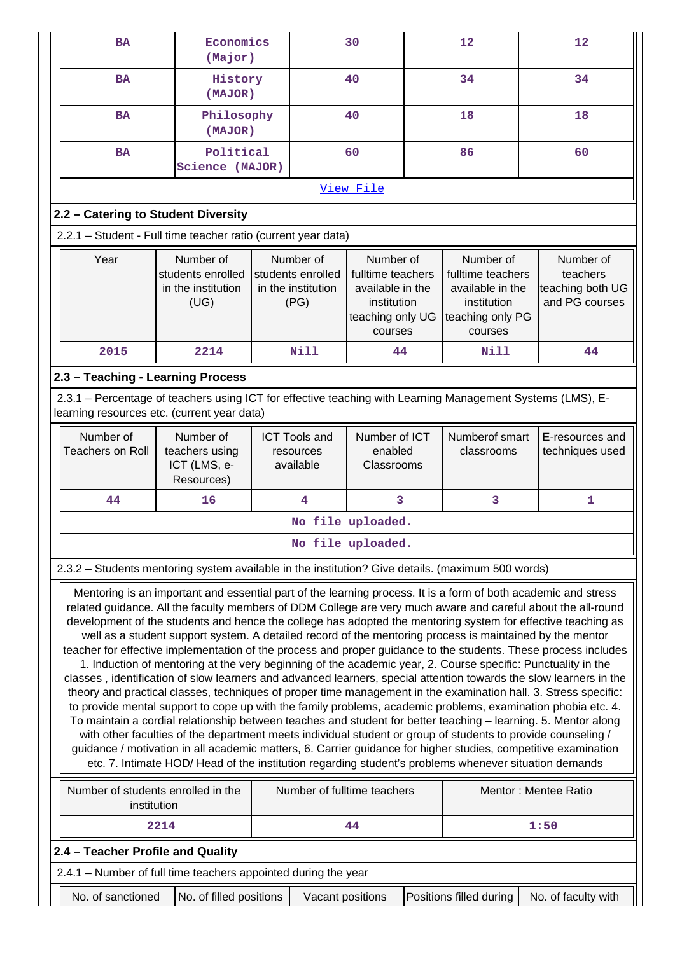|                                                                                                                                                                                                                                                                                                                                                                                                                                                                                                                                                                                                                                                                                                                                                                                                                                                                                                                                                                                                                                                                                                                                                                                                                                                                                                                                                                                                                                                                                                                     | <b>BA</b>                                                                                                                                                 | Economics<br>(Major)                                                                                               |                    |                                                              | 30                                                                                               |  | 12                                                                                               |  | 12                                                          |  |  |
|---------------------------------------------------------------------------------------------------------------------------------------------------------------------------------------------------------------------------------------------------------------------------------------------------------------------------------------------------------------------------------------------------------------------------------------------------------------------------------------------------------------------------------------------------------------------------------------------------------------------------------------------------------------------------------------------------------------------------------------------------------------------------------------------------------------------------------------------------------------------------------------------------------------------------------------------------------------------------------------------------------------------------------------------------------------------------------------------------------------------------------------------------------------------------------------------------------------------------------------------------------------------------------------------------------------------------------------------------------------------------------------------------------------------------------------------------------------------------------------------------------------------|-----------------------------------------------------------------------------------------------------------------------------------------------------------|--------------------------------------------------------------------------------------------------------------------|--------------------|--------------------------------------------------------------|--------------------------------------------------------------------------------------------------|--|--------------------------------------------------------------------------------------------------|--|-------------------------------------------------------------|--|--|
|                                                                                                                                                                                                                                                                                                                                                                                                                                                                                                                                                                                                                                                                                                                                                                                                                                                                                                                                                                                                                                                                                                                                                                                                                                                                                                                                                                                                                                                                                                                     | <b>BA</b>                                                                                                                                                 |                                                                                                                    | History<br>(MAJOR) |                                                              | 40                                                                                               |  | 34                                                                                               |  | 34                                                          |  |  |
|                                                                                                                                                                                                                                                                                                                                                                                                                                                                                                                                                                                                                                                                                                                                                                                                                                                                                                                                                                                                                                                                                                                                                                                                                                                                                                                                                                                                                                                                                                                     | <b>BA</b>                                                                                                                                                 | Philosophy<br>(MAJOR)                                                                                              |                    |                                                              | 40                                                                                               |  | 18                                                                                               |  | 18                                                          |  |  |
|                                                                                                                                                                                                                                                                                                                                                                                                                                                                                                                                                                                                                                                                                                                                                                                                                                                                                                                                                                                                                                                                                                                                                                                                                                                                                                                                                                                                                                                                                                                     | <b>BA</b>                                                                                                                                                 | Political<br>Science (MAJOR)                                                                                       |                    |                                                              | 60                                                                                               |  | 86                                                                                               |  | 60                                                          |  |  |
|                                                                                                                                                                                                                                                                                                                                                                                                                                                                                                                                                                                                                                                                                                                                                                                                                                                                                                                                                                                                                                                                                                                                                                                                                                                                                                                                                                                                                                                                                                                     |                                                                                                                                                           |                                                                                                                    |                    |                                                              | View File                                                                                        |  |                                                                                                  |  |                                                             |  |  |
|                                                                                                                                                                                                                                                                                                                                                                                                                                                                                                                                                                                                                                                                                                                                                                                                                                                                                                                                                                                                                                                                                                                                                                                                                                                                                                                                                                                                                                                                                                                     | 2.2 - Catering to Student Diversity                                                                                                                       |                                                                                                                    |                    |                                                              |                                                                                                  |  |                                                                                                  |  |                                                             |  |  |
|                                                                                                                                                                                                                                                                                                                                                                                                                                                                                                                                                                                                                                                                                                                                                                                                                                                                                                                                                                                                                                                                                                                                                                                                                                                                                                                                                                                                                                                                                                                     | 2.2.1 - Student - Full time teacher ratio (current year data)                                                                                             |                                                                                                                    |                    |                                                              |                                                                                                  |  |                                                                                                  |  |                                                             |  |  |
|                                                                                                                                                                                                                                                                                                                                                                                                                                                                                                                                                                                                                                                                                                                                                                                                                                                                                                                                                                                                                                                                                                                                                                                                                                                                                                                                                                                                                                                                                                                     | Year<br>Number of<br>students enrolled<br>in the institution<br>(UG)                                                                                      |                                                                                                                    |                    | Number of<br>students enrolled<br>in the institution<br>(PG) | Number of<br>fulltime teachers<br>available in the<br>institution<br>teaching only UG<br>courses |  | Number of<br>fulltime teachers<br>available in the<br>institution<br>teaching only PG<br>courses |  | Number of<br>teachers<br>teaching both UG<br>and PG courses |  |  |
|                                                                                                                                                                                                                                                                                                                                                                                                                                                                                                                                                                                                                                                                                                                                                                                                                                                                                                                                                                                                                                                                                                                                                                                                                                                                                                                                                                                                                                                                                                                     | 2015                                                                                                                                                      | 2214                                                                                                               |                    | Nill                                                         | 44                                                                                               |  | Nill                                                                                             |  | 44                                                          |  |  |
|                                                                                                                                                                                                                                                                                                                                                                                                                                                                                                                                                                                                                                                                                                                                                                                                                                                                                                                                                                                                                                                                                                                                                                                                                                                                                                                                                                                                                                                                                                                     | 2.3 - Teaching - Learning Process                                                                                                                         |                                                                                                                    |                    |                                                              |                                                                                                  |  |                                                                                                  |  |                                                             |  |  |
|                                                                                                                                                                                                                                                                                                                                                                                                                                                                                                                                                                                                                                                                                                                                                                                                                                                                                                                                                                                                                                                                                                                                                                                                                                                                                                                                                                                                                                                                                                                     | 2.3.1 – Percentage of teachers using ICT for effective teaching with Learning Management Systems (LMS), E-<br>learning resources etc. (current year data) |                                                                                                                    |                    |                                                              |                                                                                                  |  |                                                                                                  |  |                                                             |  |  |
|                                                                                                                                                                                                                                                                                                                                                                                                                                                                                                                                                                                                                                                                                                                                                                                                                                                                                                                                                                                                                                                                                                                                                                                                                                                                                                                                                                                                                                                                                                                     | Number of<br><b>Teachers on Roll</b>                                                                                                                      | Number of<br>teachers using<br>ICT (LMS, e-<br>Resources)                                                          |                    | <b>ICT Tools and</b><br>resources<br>available               | Number of ICT<br>enabled<br>Classrooms                                                           |  | Numberof smart<br>classrooms                                                                     |  | E-resources and<br>techniques used                          |  |  |
|                                                                                                                                                                                                                                                                                                                                                                                                                                                                                                                                                                                                                                                                                                                                                                                                                                                                                                                                                                                                                                                                                                                                                                                                                                                                                                                                                                                                                                                                                                                     | 44                                                                                                                                                        | 16                                                                                                                 |                    | 4                                                            | 3                                                                                                |  | 3                                                                                                |  | 1                                                           |  |  |
|                                                                                                                                                                                                                                                                                                                                                                                                                                                                                                                                                                                                                                                                                                                                                                                                                                                                                                                                                                                                                                                                                                                                                                                                                                                                                                                                                                                                                                                                                                                     |                                                                                                                                                           |                                                                                                                    |                    |                                                              | No file uploaded.                                                                                |  |                                                                                                  |  |                                                             |  |  |
|                                                                                                                                                                                                                                                                                                                                                                                                                                                                                                                                                                                                                                                                                                                                                                                                                                                                                                                                                                                                                                                                                                                                                                                                                                                                                                                                                                                                                                                                                                                     |                                                                                                                                                           |                                                                                                                    |                    |                                                              | No file uploaded.                                                                                |  |                                                                                                  |  |                                                             |  |  |
|                                                                                                                                                                                                                                                                                                                                                                                                                                                                                                                                                                                                                                                                                                                                                                                                                                                                                                                                                                                                                                                                                                                                                                                                                                                                                                                                                                                                                                                                                                                     | 2.3.2 - Students mentoring system available in the institution? Give details. (maximum 500 words)                                                         |                                                                                                                    |                    |                                                              |                                                                                                  |  |                                                                                                  |  |                                                             |  |  |
| Mentoring is an important and essential part of the learning process. It is a form of both academic and stress<br>related guidance. All the faculty members of DDM College are very much aware and careful about the all-round<br>development of the students and hence the college has adopted the mentoring system for effective teaching as<br>well as a student support system. A detailed record of the mentoring process is maintained by the mentor<br>teacher for effective implementation of the process and proper guidance to the students. These process includes<br>1. Induction of mentoring at the very beginning of the academic year, 2. Course specific: Punctuality in the<br>classes, identification of slow learners and advanced learners, special attention towards the slow learners in the<br>theory and practical classes, techniques of proper time management in the examination hall. 3. Stress specific:<br>to provide mental support to cope up with the family problems, academic problems, examination phobia etc. 4.<br>To maintain a cordial relationship between teaches and student for better teaching - learning. 5. Mentor along<br>with other faculties of the department meets individual student or group of students to provide counseling /<br>guidance / motivation in all academic matters, 6. Carrier guidance for higher studies, competitive examination<br>etc. 7. Intimate HOD/ Head of the institution regarding student's problems whenever situation demands |                                                                                                                                                           |                                                                                                                    |                    |                                                              |                                                                                                  |  |                                                                                                  |  |                                                             |  |  |
|                                                                                                                                                                                                                                                                                                                                                                                                                                                                                                                                                                                                                                                                                                                                                                                                                                                                                                                                                                                                                                                                                                                                                                                                                                                                                                                                                                                                                                                                                                                     | Number of students enrolled in the<br>institution                                                                                                         |                                                                                                                    |                    |                                                              | Number of fulltime teachers                                                                      |  |                                                                                                  |  | Mentor: Mentee Ratio                                        |  |  |
|                                                                                                                                                                                                                                                                                                                                                                                                                                                                                                                                                                                                                                                                                                                                                                                                                                                                                                                                                                                                                                                                                                                                                                                                                                                                                                                                                                                                                                                                                                                     | 2214<br>44<br>1:50                                                                                                                                        |                                                                                                                    |                    |                                                              |                                                                                                  |  |                                                                                                  |  |                                                             |  |  |
|                                                                                                                                                                                                                                                                                                                                                                                                                                                                                                                                                                                                                                                                                                                                                                                                                                                                                                                                                                                                                                                                                                                                                                                                                                                                                                                                                                                                                                                                                                                     | 2.4 - Teacher Profile and Quality                                                                                                                         |                                                                                                                    |                    |                                                              |                                                                                                  |  |                                                                                                  |  |                                                             |  |  |
|                                                                                                                                                                                                                                                                                                                                                                                                                                                                                                                                                                                                                                                                                                                                                                                                                                                                                                                                                                                                                                                                                                                                                                                                                                                                                                                                                                                                                                                                                                                     | 2.4.1 - Number of full time teachers appointed during the year                                                                                            |                                                                                                                    |                    |                                                              |                                                                                                  |  |                                                                                                  |  |                                                             |  |  |
|                                                                                                                                                                                                                                                                                                                                                                                                                                                                                                                                                                                                                                                                                                                                                                                                                                                                                                                                                                                                                                                                                                                                                                                                                                                                                                                                                                                                                                                                                                                     |                                                                                                                                                           | No. of sanctioned<br>No. of filled positions<br>Positions filled during<br>No. of faculty with<br>Vacant positions |                    |                                                              |                                                                                                  |  |                                                                                                  |  |                                                             |  |  |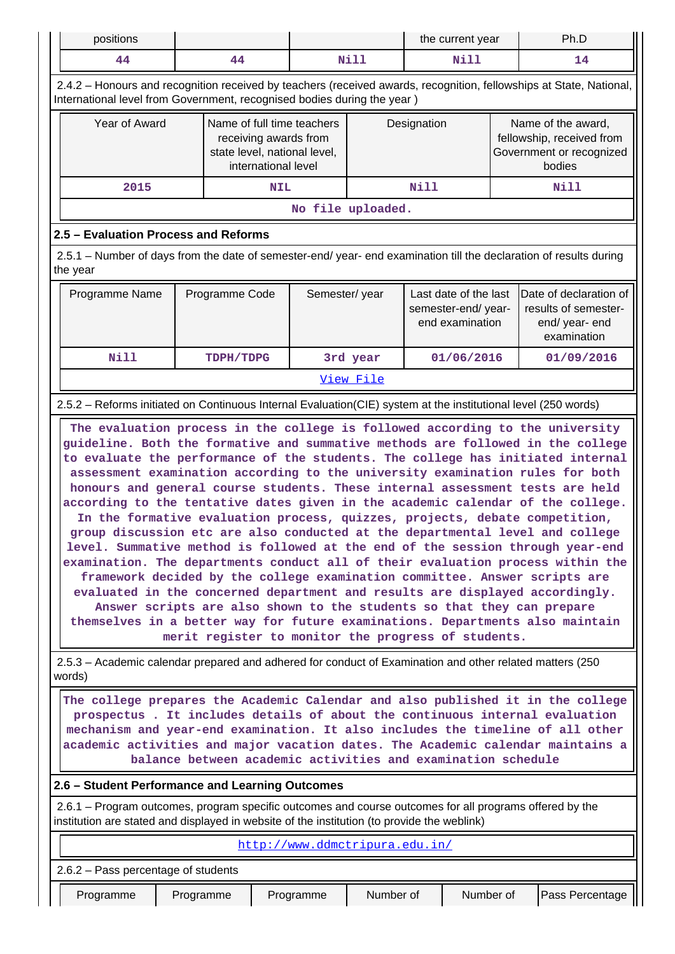|                                                                                                                                                                                                        | positions<br>the current year                                                                                                                                                                                                                                                                                                                                                                       |                                                                                                                               |                     | Ph.D                                                                                |                                |                                                                |            |                                                                                       |                                                                                                                                                                                                                                                                                                                                                                                                                                                                                                                                                                                                                                                                                                                                                                                                                                                                                                                                                                                                             |
|--------------------------------------------------------------------------------------------------------------------------------------------------------------------------------------------------------|-----------------------------------------------------------------------------------------------------------------------------------------------------------------------------------------------------------------------------------------------------------------------------------------------------------------------------------------------------------------------------------------------------|-------------------------------------------------------------------------------------------------------------------------------|---------------------|-------------------------------------------------------------------------------------|--------------------------------|----------------------------------------------------------------|------------|---------------------------------------------------------------------------------------|-------------------------------------------------------------------------------------------------------------------------------------------------------------------------------------------------------------------------------------------------------------------------------------------------------------------------------------------------------------------------------------------------------------------------------------------------------------------------------------------------------------------------------------------------------------------------------------------------------------------------------------------------------------------------------------------------------------------------------------------------------------------------------------------------------------------------------------------------------------------------------------------------------------------------------------------------------------------------------------------------------------|
| 44                                                                                                                                                                                                     |                                                                                                                                                                                                                                                                                                                                                                                                     | 44                                                                                                                            |                     |                                                                                     | Nill                           | Nill                                                           |            |                                                                                       | 14                                                                                                                                                                                                                                                                                                                                                                                                                                                                                                                                                                                                                                                                                                                                                                                                                                                                                                                                                                                                          |
| 2.4.2 - Honours and recognition received by teachers (received awards, recognition, fellowships at State, National,<br>International level from Government, recognised bodies during the year)         |                                                                                                                                                                                                                                                                                                                                                                                                     |                                                                                                                               |                     |                                                                                     |                                |                                                                |            |                                                                                       |                                                                                                                                                                                                                                                                                                                                                                                                                                                                                                                                                                                                                                                                                                                                                                                                                                                                                                                                                                                                             |
|                                                                                                                                                                                                        | Year of Award                                                                                                                                                                                                                                                                                                                                                                                       |                                                                                                                               | international level | Name of full time teachers<br>receiving awards from<br>state level, national level, |                                | Designation                                                    |            | Name of the award,<br>fellowship, received from<br>Government or recognized<br>bodies |                                                                                                                                                                                                                                                                                                                                                                                                                                                                                                                                                                                                                                                                                                                                                                                                                                                                                                                                                                                                             |
|                                                                                                                                                                                                        | 2015                                                                                                                                                                                                                                                                                                                                                                                                |                                                                                                                               | <b>NIL</b>          |                                                                                     |                                | <b>Nill</b>                                                    |            |                                                                                       | Nill                                                                                                                                                                                                                                                                                                                                                                                                                                                                                                                                                                                                                                                                                                                                                                                                                                                                                                                                                                                                        |
|                                                                                                                                                                                                        |                                                                                                                                                                                                                                                                                                                                                                                                     |                                                                                                                               |                     |                                                                                     | No file uploaded.              |                                                                |            |                                                                                       |                                                                                                                                                                                                                                                                                                                                                                                                                                                                                                                                                                                                                                                                                                                                                                                                                                                                                                                                                                                                             |
| 2.5 - Evaluation Process and Reforms                                                                                                                                                                   |                                                                                                                                                                                                                                                                                                                                                                                                     |                                                                                                                               |                     |                                                                                     |                                |                                                                |            |                                                                                       |                                                                                                                                                                                                                                                                                                                                                                                                                                                                                                                                                                                                                                                                                                                                                                                                                                                                                                                                                                                                             |
| the year                                                                                                                                                                                               |                                                                                                                                                                                                                                                                                                                                                                                                     |                                                                                                                               |                     |                                                                                     |                                |                                                                |            |                                                                                       | 2.5.1 – Number of days from the date of semester-end/ year- end examination till the declaration of results during                                                                                                                                                                                                                                                                                                                                                                                                                                                                                                                                                                                                                                                                                                                                                                                                                                                                                          |
| Programme Name                                                                                                                                                                                         |                                                                                                                                                                                                                                                                                                                                                                                                     | Programme Code                                                                                                                |                     | Semester/year                                                                       |                                | Last date of the last<br>semester-end/year-<br>end examination |            |                                                                                       | Date of declaration of<br>results of semester-<br>end/ year- end<br>examination                                                                                                                                                                                                                                                                                                                                                                                                                                                                                                                                                                                                                                                                                                                                                                                                                                                                                                                             |
| <b>Nill</b>                                                                                                                                                                                            |                                                                                                                                                                                                                                                                                                                                                                                                     | TDPH/TDPG                                                                                                                     |                     |                                                                                     | 3rd year                       |                                                                | 01/06/2016 |                                                                                       | 01/09/2016                                                                                                                                                                                                                                                                                                                                                                                                                                                                                                                                                                                                                                                                                                                                                                                                                                                                                                                                                                                                  |
|                                                                                                                                                                                                        |                                                                                                                                                                                                                                                                                                                                                                                                     |                                                                                                                               |                     |                                                                                     | View File                      |                                                                |            |                                                                                       |                                                                                                                                                                                                                                                                                                                                                                                                                                                                                                                                                                                                                                                                                                                                                                                                                                                                                                                                                                                                             |
| 2.5.2 - Reforms initiated on Continuous Internal Evaluation(CIE) system at the institutional level (250 words)                                                                                         |                                                                                                                                                                                                                                                                                                                                                                                                     |                                                                                                                               |                     |                                                                                     |                                |                                                                |            |                                                                                       |                                                                                                                                                                                                                                                                                                                                                                                                                                                                                                                                                                                                                                                                                                                                                                                                                                                                                                                                                                                                             |
|                                                                                                                                                                                                        |                                                                                                                                                                                                                                                                                                                                                                                                     | Answer scripts are also shown to the students so that they can prepare<br>merit register to monitor the progress of students. |                     |                                                                                     |                                |                                                                |            |                                                                                       | guideline. Both the formative and summative methods are followed in the college<br>to evaluate the performance of the students. The college has initiated internal<br>assessment examination according to the university examination rules for both<br>honours and general course students. These internal assessment tests are held<br>according to the tentative dates given in the academic calendar of the college.<br>In the formative evaluation process, quizzes, projects, debate competition,<br>group discussion etc are also conducted at the departmental level and college<br>level. Summative method is followed at the end of the session through year-end<br>examination. The departments conduct all of their evaluation process within the<br>framework decided by the college examination committee. Answer scripts are<br>evaluated in the concerned department and results are displayed accordingly.<br>themselves in a better way for future examinations. Departments also maintain |
| words)                                                                                                                                                                                                 |                                                                                                                                                                                                                                                                                                                                                                                                     |                                                                                                                               |                     |                                                                                     |                                |                                                                |            |                                                                                       | 2.5.3 – Academic calendar prepared and adhered for conduct of Examination and other related matters (250)                                                                                                                                                                                                                                                                                                                                                                                                                                                                                                                                                                                                                                                                                                                                                                                                                                                                                                   |
|                                                                                                                                                                                                        | The college prepares the Academic Calendar and also published it in the college<br>prospectus. It includes details of about the continuous internal evaluation<br>mechanism and year-end examination. It also includes the timeline of all other<br>academic activities and major vacation dates. The Academic calendar maintains a<br>balance between academic activities and examination schedule |                                                                                                                               |                     |                                                                                     |                                |                                                                |            |                                                                                       |                                                                                                                                                                                                                                                                                                                                                                                                                                                                                                                                                                                                                                                                                                                                                                                                                                                                                                                                                                                                             |
| 2.6 - Student Performance and Learning Outcomes                                                                                                                                                        |                                                                                                                                                                                                                                                                                                                                                                                                     |                                                                                                                               |                     |                                                                                     |                                |                                                                |            |                                                                                       |                                                                                                                                                                                                                                                                                                                                                                                                                                                                                                                                                                                                                                                                                                                                                                                                                                                                                                                                                                                                             |
| 2.6.1 – Program outcomes, program specific outcomes and course outcomes for all programs offered by the<br>institution are stated and displayed in website of the institution (to provide the weblink) |                                                                                                                                                                                                                                                                                                                                                                                                     |                                                                                                                               |                     |                                                                                     |                                |                                                                |            |                                                                                       |                                                                                                                                                                                                                                                                                                                                                                                                                                                                                                                                                                                                                                                                                                                                                                                                                                                                                                                                                                                                             |
|                                                                                                                                                                                                        |                                                                                                                                                                                                                                                                                                                                                                                                     |                                                                                                                               |                     |                                                                                     | http://www.ddmctripura.edu.in/ |                                                                |            |                                                                                       |                                                                                                                                                                                                                                                                                                                                                                                                                                                                                                                                                                                                                                                                                                                                                                                                                                                                                                                                                                                                             |
| 2.6.2 - Pass percentage of students                                                                                                                                                                    |                                                                                                                                                                                                                                                                                                                                                                                                     |                                                                                                                               |                     |                                                                                     |                                |                                                                |            |                                                                                       |                                                                                                                                                                                                                                                                                                                                                                                                                                                                                                                                                                                                                                                                                                                                                                                                                                                                                                                                                                                                             |
| Programme                                                                                                                                                                                              |                                                                                                                                                                                                                                                                                                                                                                                                     | Programme                                                                                                                     |                     | Programme                                                                           | Number of                      |                                                                | Number of  |                                                                                       | Pass Percentage                                                                                                                                                                                                                                                                                                                                                                                                                                                                                                                                                                                                                                                                                                                                                                                                                                                                                                                                                                                             |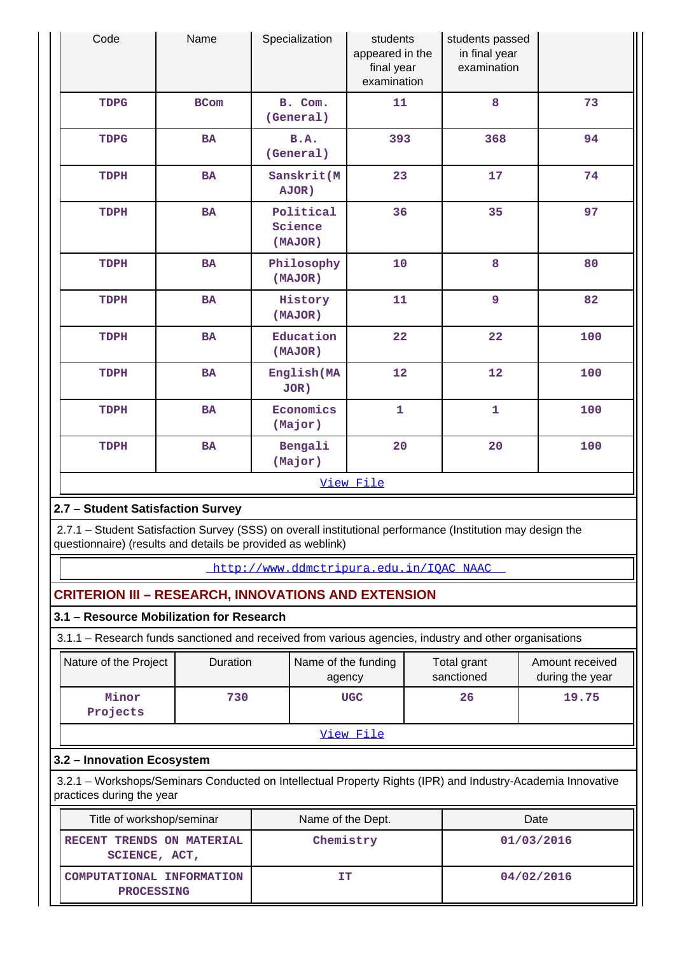| Code                                           | Name                                                                                                                                                                      | Specialization                  | students<br>appeared in the<br>final year<br>examination |  | students passed<br>in final year<br>examination |      |                                    |
|------------------------------------------------|---------------------------------------------------------------------------------------------------------------------------------------------------------------------------|---------------------------------|----------------------------------------------------------|--|-------------------------------------------------|------|------------------------------------|
| <b>TDPG</b>                                    | <b>BCom</b>                                                                                                                                                               | B. Com.<br>(General)            | 11                                                       |  | 8                                               |      | 73                                 |
| <b>TDPG</b>                                    | <b>BA</b>                                                                                                                                                                 | B.A.<br>(General)               | 393                                                      |  | 368                                             |      | 94                                 |
| TDPH                                           | <b>BA</b>                                                                                                                                                                 | Sanskrit (M<br>AJOR)            | 23                                                       |  | 17                                              |      | 74                                 |
| TDPH                                           | <b>BA</b>                                                                                                                                                                 | Political<br>Science<br>(MAJOR) | 36                                                       |  | 35                                              |      | 97                                 |
| TDPH                                           | <b>BA</b>                                                                                                                                                                 | Philosophy<br>(MAJOR)           | 10                                                       |  | 8                                               |      | 80                                 |
| TDPH                                           | <b>BA</b>                                                                                                                                                                 | History<br>(MAJOR)              | 11                                                       |  | 9                                               |      | 82                                 |
| TDPH                                           | <b>BA</b>                                                                                                                                                                 | Education<br>(MAJOR)            | 22                                                       |  | 22                                              |      | 100                                |
| TDPH                                           | <b>BA</b>                                                                                                                                                                 | English (MA<br>JOR)             | 12                                                       |  | 12                                              |      | 100                                |
| TDPH                                           | <b>BA</b>                                                                                                                                                                 | Economics<br>(Major)            | 1                                                        |  | $\mathbf 1$                                     |      | 100                                |
| TDPH                                           | <b>BA</b>                                                                                                                                                                 | Bengali<br>(Major)              | 20                                                       |  | 20                                              |      | 100                                |
|                                                |                                                                                                                                                                           |                                 | View File                                                |  |                                                 |      |                                    |
| 2.7 - Student Satisfaction Survey              |                                                                                                                                                                           |                                 |                                                          |  |                                                 |      |                                    |
|                                                | 2.7.1 - Student Satisfaction Survey (SSS) on overall institutional performance (Institution may design the<br>questionnaire) (results and details be provided as weblink) |                                 |                                                          |  |                                                 |      |                                    |
|                                                |                                                                                                                                                                           |                                 | http://www.ddmctripura.edu.in/IQAC NAAC                  |  |                                                 |      |                                    |
|                                                | <b>CRITERION III - RESEARCH, INNOVATIONS AND EXTENSION</b>                                                                                                                |                                 |                                                          |  |                                                 |      |                                    |
|                                                | 3.1 - Resource Mobilization for Research                                                                                                                                  |                                 |                                                          |  |                                                 |      |                                    |
|                                                | 3.1.1 - Research funds sanctioned and received from various agencies, industry and other organisations                                                                    |                                 |                                                          |  |                                                 |      |                                    |
| Nature of the Project                          | Duration                                                                                                                                                                  | Name of the funding<br>agency   |                                                          |  | Total grant<br>sanctioned                       |      | Amount received<br>during the year |
| Minor<br>Projects                              | 730                                                                                                                                                                       |                                 | <b>UGC</b>                                               |  | 26                                              |      | 19.75                              |
|                                                |                                                                                                                                                                           |                                 | View File                                                |  |                                                 |      |                                    |
| 3.2 - Innovation Ecosystem                     |                                                                                                                                                                           |                                 |                                                          |  |                                                 |      |                                    |
| practices during the year                      | 3.2.1 - Workshops/Seminars Conducted on Intellectual Property Rights (IPR) and Industry-Academia Innovative                                                               |                                 |                                                          |  |                                                 |      |                                    |
| Title of workshop/seminar                      |                                                                                                                                                                           | Name of the Dept.               |                                                          |  |                                                 | Date |                                    |
| RECENT TRENDS ON MATERIAL<br>SCIENCE, ACT,     |                                                                                                                                                                           | Chemistry                       |                                                          |  | 01/03/2016                                      |      |                                    |
| COMPUTATIONAL INFORMATION<br><b>PROCESSING</b> |                                                                                                                                                                           | <b>IT</b>                       |                                                          |  | 04/02/2016                                      |      |                                    |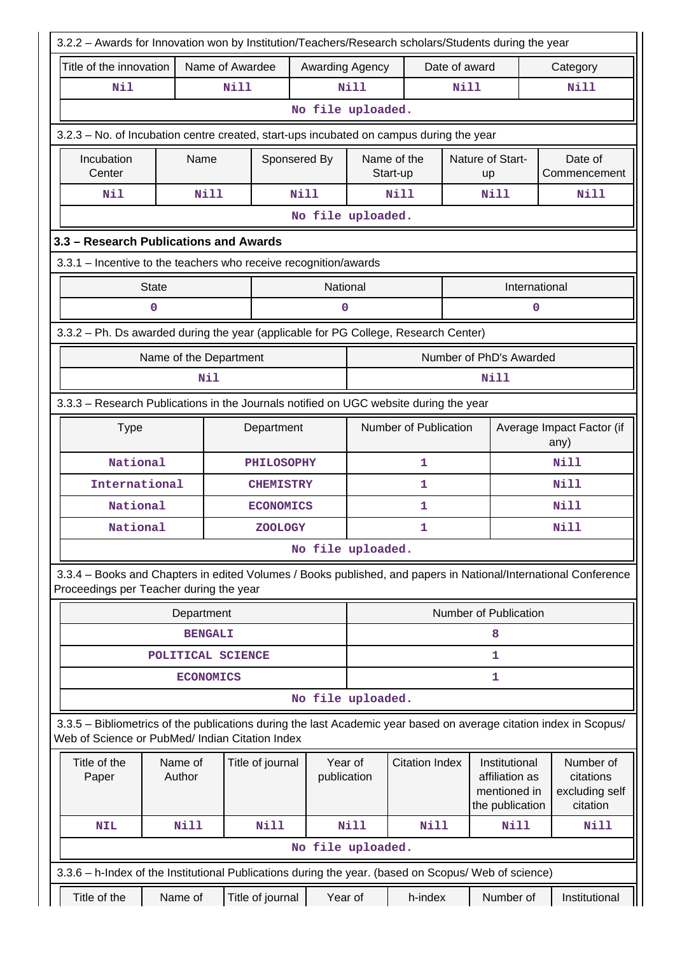| 3.2.2 - Awards for Innovation won by Institution/Teachers/Research scholars/Students during the year                                                                  |                        |                   |                   |                            |                         |                               |                                                                    |                                                                                                                 |  |
|-----------------------------------------------------------------------------------------------------------------------------------------------------------------------|------------------------|-------------------|-------------------|----------------------------|-------------------------|-------------------------------|--------------------------------------------------------------------|-----------------------------------------------------------------------------------------------------------------|--|
| Name of Awardee<br>Title of the innovation                                                                                                                            |                        |                   |                   | <b>Awarding Agency</b>     |                         | Date of award                 |                                                                    | Category                                                                                                        |  |
| Nil                                                                                                                                                                   |                        | Nill              |                   | <b>Nill</b><br><b>Nill</b> |                         |                               |                                                                    | Nill                                                                                                            |  |
|                                                                                                                                                                       |                        |                   | No file uploaded. |                            |                         |                               |                                                                    |                                                                                                                 |  |
| 3.2.3 - No. of Incubation centre created, start-ups incubated on campus during the year                                                                               |                        |                   |                   |                            |                         |                               |                                                                    |                                                                                                                 |  |
| Incubation<br>Center                                                                                                                                                  | Name                   |                   | Sponsered By      |                            | Name of the<br>Start-up | Nature of Start-<br><b>up</b> |                                                                    | Date of<br>Commencement                                                                                         |  |
| Nil                                                                                                                                                                   | Nill                   |                   | <b>Nill</b>       |                            | <b>Nill</b>             |                               | Nill                                                               | <b>Nill</b>                                                                                                     |  |
|                                                                                                                                                                       |                        |                   | No file uploaded. |                            |                         |                               |                                                                    |                                                                                                                 |  |
| 3.3 - Research Publications and Awards                                                                                                                                |                        |                   |                   |                            |                         |                               |                                                                    |                                                                                                                 |  |
| 3.3.1 - Incentive to the teachers who receive recognition/awards                                                                                                      |                        |                   |                   |                            |                         |                               |                                                                    |                                                                                                                 |  |
|                                                                                                                                                                       | <b>State</b>           |                   |                   | National                   |                         |                               | International                                                      |                                                                                                                 |  |
|                                                                                                                                                                       | $\mathbf 0$            |                   |                   | 0                          |                         |                               | 0                                                                  |                                                                                                                 |  |
| 3.3.2 - Ph. Ds awarded during the year (applicable for PG College, Research Center)                                                                                   |                        |                   |                   |                            |                         |                               |                                                                    |                                                                                                                 |  |
|                                                                                                                                                                       | Name of the Department |                   |                   |                            |                         |                               | Number of PhD's Awarded                                            |                                                                                                                 |  |
|                                                                                                                                                                       | Nil                    |                   |                   |                            |                         |                               | Nill                                                               |                                                                                                                 |  |
| 3.3.3 - Research Publications in the Journals notified on UGC website during the year                                                                                 |                        |                   |                   |                            |                         |                               |                                                                    |                                                                                                                 |  |
| <b>Type</b><br>Department                                                                                                                                             |                        |                   |                   | Number of Publication      |                         |                               | Average Impact Factor (if<br>any)                                  |                                                                                                                 |  |
| National                                                                                                                                                              |                        | <b>PHILOSOPHY</b> |                   |                            | 1                       |                               |                                                                    | Nill                                                                                                            |  |
| International                                                                                                                                                         |                        | <b>CHEMISTRY</b>  | 1                 |                            |                         |                               |                                                                    | <b>Nill</b>                                                                                                     |  |
| National                                                                                                                                                              |                        | <b>ECONOMICS</b>  |                   |                            | 1                       |                               |                                                                    | <b>Nill</b>                                                                                                     |  |
| National                                                                                                                                                              |                        | <b>ZOOLOGY</b>    |                   | 1                          |                         |                               |                                                                    | Nill                                                                                                            |  |
|                                                                                                                                                                       |                        |                   | No file uploaded. |                            |                         |                               |                                                                    |                                                                                                                 |  |
| Proceedings per Teacher during the year                                                                                                                               |                        |                   |                   |                            |                         |                               |                                                                    | 3.3.4 - Books and Chapters in edited Volumes / Books published, and papers in National/International Conference |  |
|                                                                                                                                                                       | Department             |                   |                   |                            |                         |                               | Number of Publication                                              |                                                                                                                 |  |
|                                                                                                                                                                       | <b>BENGALI</b>         |                   |                   | 8                          |                         |                               |                                                                    |                                                                                                                 |  |
|                                                                                                                                                                       | POLITICAL SCIENCE      |                   |                   | 1                          |                         |                               |                                                                    |                                                                                                                 |  |
|                                                                                                                                                                       | <b>ECONOMICS</b>       |                   |                   | 1                          |                         |                               |                                                                    |                                                                                                                 |  |
|                                                                                                                                                                       |                        |                   | No file uploaded. |                            |                         |                               |                                                                    |                                                                                                                 |  |
| 3.3.5 – Bibliometrics of the publications during the last Academic year based on average citation index in Scopus/<br>Web of Science or PubMed/ Indian Citation Index |                        |                   |                   |                            |                         |                               |                                                                    |                                                                                                                 |  |
| Title of the<br>Paper                                                                                                                                                 | Name of<br>Author      | Title of journal  |                   | Year of<br>publication     | <b>Citation Index</b>   |                               | Institutional<br>affiliation as<br>mentioned in<br>the publication | Number of<br>citations<br>excluding self<br>citation                                                            |  |
| <b>NIL</b>                                                                                                                                                            | Nill                   | <b>Nill</b>       |                   | Nill                       | <b>Nill</b>             |                               | Nill                                                               | Nill                                                                                                            |  |
|                                                                                                                                                                       |                        |                   | No file uploaded. |                            |                         |                               |                                                                    |                                                                                                                 |  |
| 3.3.6 - h-Index of the Institutional Publications during the year. (based on Scopus/ Web of science)                                                                  |                        |                   |                   |                            |                         |                               |                                                                    |                                                                                                                 |  |
| Title of the                                                                                                                                                          | Name of                | Title of journal  |                   | Year of                    | h-index                 |                               | Number of                                                          | Institutional                                                                                                   |  |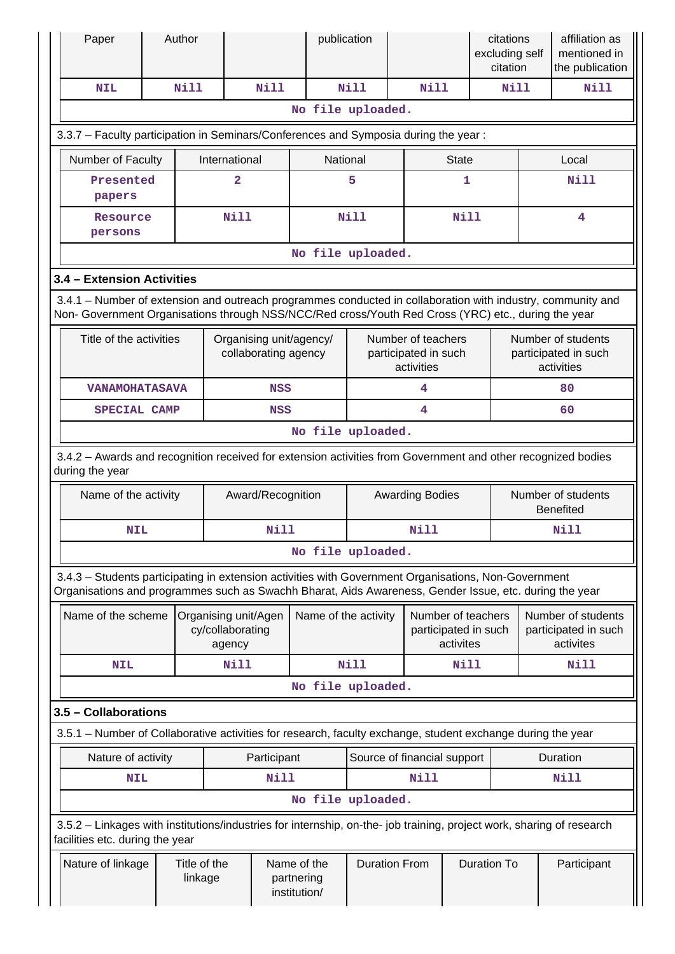| Paper                                                                                                                                                                                                              |                                                                          | Author                  |                |                                                 | publication       |                            |                                                         |                                            | citations<br>excluding self<br>citation |                                                          | affiliation as<br>mentioned in<br>the publication |  |
|--------------------------------------------------------------------------------------------------------------------------------------------------------------------------------------------------------------------|--------------------------------------------------------------------------|-------------------------|----------------|-------------------------------------------------|-------------------|----------------------------|---------------------------------------------------------|--------------------------------------------|-----------------------------------------|----------------------------------------------------------|---------------------------------------------------|--|
| <b>NIL</b>                                                                                                                                                                                                         |                                                                          | <b>Nill</b>             |                | <b>Nill</b>                                     |                   | <b>Nill</b>                | <b>Nill</b>                                             |                                            | <b>Nill</b>                             |                                                          | Nill                                              |  |
|                                                                                                                                                                                                                    |                                                                          |                         |                |                                                 | No file uploaded. |                            |                                                         |                                            |                                         |                                                          |                                                   |  |
| 3.3.7 - Faculty participation in Seminars/Conferences and Symposia during the year:                                                                                                                                |                                                                          |                         |                |                                                 |                   |                            |                                                         |                                            |                                         |                                                          |                                                   |  |
| Number of Faculty<br>International<br>National<br><b>State</b><br>Local                                                                                                                                            |                                                                          |                         |                |                                                 |                   |                            |                                                         |                                            |                                         |                                                          |                                                   |  |
| Presented<br>papers                                                                                                                                                                                                |                                                                          |                         | $\overline{2}$ |                                                 |                   | 5                          |                                                         | 1                                          |                                         |                                                          | <b>Nill</b>                                       |  |
| Resource<br>persons                                                                                                                                                                                                |                                                                          |                         | Nill           |                                                 |                   | <b>Nill</b>                |                                                         | <b>Nill</b>                                |                                         |                                                          | 4                                                 |  |
|                                                                                                                                                                                                                    |                                                                          |                         |                |                                                 | No file uploaded. |                            |                                                         |                                            |                                         |                                                          |                                                   |  |
| 3.4 - Extension Activities                                                                                                                                                                                         |                                                                          |                         |                |                                                 |                   |                            |                                                         |                                            |                                         |                                                          |                                                   |  |
| 3.4.1 - Number of extension and outreach programmes conducted in collaboration with industry, community and<br>Non- Government Organisations through NSS/NCC/Red cross/Youth Red Cross (YRC) etc., during the year |                                                                          |                         |                |                                                 |                   |                            |                                                         |                                            |                                         |                                                          |                                                   |  |
| Title of the activities                                                                                                                                                                                            |                                                                          |                         |                | Organising unit/agency/<br>collaborating agency |                   |                            | activities                                              | Number of teachers<br>participated in such |                                         | Number of students<br>participated in such<br>activities |                                                   |  |
| <b>VANAMOHATASAVA</b>                                                                                                                                                                                              |                                                                          |                         |                | <b>NSS</b>                                      |                   |                            | 4                                                       |                                            |                                         | 80                                                       |                                                   |  |
| SPECIAL CAMP                                                                                                                                                                                                       |                                                                          |                         |                | <b>NSS</b>                                      |                   |                            | 4                                                       |                                            |                                         | 60                                                       |                                                   |  |
|                                                                                                                                                                                                                    |                                                                          |                         |                |                                                 | No file uploaded. |                            |                                                         |                                            |                                         |                                                          |                                                   |  |
| 3.4.2 - Awards and recognition received for extension activities from Government and other recognized bodies<br>during the year                                                                                    |                                                                          |                         |                |                                                 |                   |                            |                                                         |                                            |                                         |                                                          |                                                   |  |
| Name of the activity                                                                                                                                                                                               |                                                                          |                         |                | Award/Recognition                               |                   | <b>Awarding Bodies</b>     |                                                         |                                            |                                         | Number of students<br><b>Benefited</b>                   |                                                   |  |
| <b>NIL</b>                                                                                                                                                                                                         |                                                                          |                         |                | <b>Nill</b>                                     | Nill              |                            |                                                         |                                            |                                         | <b>Nill</b>                                              |                                                   |  |
|                                                                                                                                                                                                                    |                                                                          |                         |                |                                                 | No file uploaded. |                            |                                                         |                                            |                                         |                                                          |                                                   |  |
| 3.4.3 - Students participating in extension activities with Government Organisations, Non-Government<br>Organisations and programmes such as Swachh Bharat, Aids Awareness, Gender Issue, etc. during the year     |                                                                          |                         |                |                                                 |                   |                            |                                                         |                                            |                                         |                                                          |                                                   |  |
|                                                                                                                                                                                                                    | Name of the scheme<br>Organising unit/Agen<br>cy/collaborating<br>agency |                         |                | Name of the activity                            |                   |                            | Number of teachers<br>participated in such<br>activites |                                            |                                         | Number of students<br>participated in such<br>activites  |                                                   |  |
| <b>NIL</b>                                                                                                                                                                                                         |                                                                          |                         | Nill           |                                                 |                   | <b>Nill</b><br><b>Nill</b> |                                                         |                                            |                                         | Nill                                                     |                                                   |  |
|                                                                                                                                                                                                                    |                                                                          |                         |                |                                                 | No file uploaded. |                            |                                                         |                                            |                                         |                                                          |                                                   |  |
| 3.5 - Collaborations                                                                                                                                                                                               |                                                                          |                         |                |                                                 |                   |                            |                                                         |                                            |                                         |                                                          |                                                   |  |
| 3.5.1 - Number of Collaborative activities for research, faculty exchange, student exchange during the year                                                                                                        |                                                                          |                         |                |                                                 |                   |                            |                                                         |                                            |                                         |                                                          |                                                   |  |
| Source of financial support<br>Nature of activity<br>Participant                                                                                                                                                   |                                                                          |                         |                |                                                 |                   |                            |                                                         | Duration                                   |                                         |                                                          |                                                   |  |
| <b>NIL</b>                                                                                                                                                                                                         |                                                                          |                         |                | Nill                                            |                   |                            | Nill                                                    |                                            |                                         |                                                          | Nill                                              |  |
|                                                                                                                                                                                                                    |                                                                          |                         |                |                                                 | No file uploaded. |                            |                                                         |                                            |                                         |                                                          |                                                   |  |
| 3.5.2 - Linkages with institutions/industries for internship, on-the- job training, project work, sharing of research<br>facilities etc. during the year                                                           |                                                                          |                         |                |                                                 |                   |                            |                                                         |                                            |                                         |                                                          |                                                   |  |
| Nature of linkage                                                                                                                                                                                                  |                                                                          | Title of the<br>linkage |                | Name of the<br>partnering<br>institution/       |                   |                            | <b>Duration From</b>                                    |                                            | <b>Duration To</b>                      |                                                          | Participant                                       |  |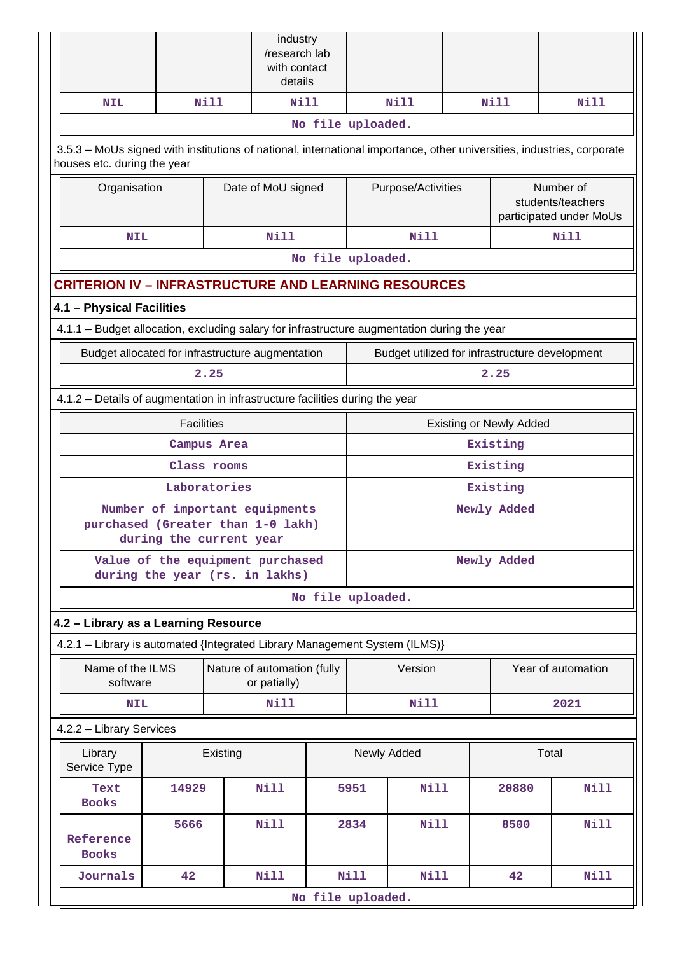|                                                                                             |                                                                                                                                                       |              | industry<br>/research lab<br>with contact<br>details |                    |                                |                    |  |                                                           |                                                |
|---------------------------------------------------------------------------------------------|-------------------------------------------------------------------------------------------------------------------------------------------------------|--------------|------------------------------------------------------|--------------------|--------------------------------|--------------------|--|-----------------------------------------------------------|------------------------------------------------|
| <b>NIL</b>                                                                                  |                                                                                                                                                       | N11          | Nill                                                 |                    |                                | Nill               |  | Nill                                                      | Nill                                           |
|                                                                                             |                                                                                                                                                       |              |                                                      | No file uploaded.  |                                |                    |  |                                                           |                                                |
|                                                                                             | 3.5.3 - MoUs signed with institutions of national, international importance, other universities, industries, corporate<br>houses etc. during the year |              |                                                      |                    |                                |                    |  |                                                           |                                                |
|                                                                                             | Organisation                                                                                                                                          |              |                                                      | Date of MoU signed |                                | Purpose/Activities |  | Number of<br>students/teachers<br>participated under MoUs |                                                |
| <b>NIL</b>                                                                                  |                                                                                                                                                       |              | Nill                                                 |                    |                                | <b>Nill</b>        |  |                                                           | <b>Nill</b>                                    |
|                                                                                             |                                                                                                                                                       |              |                                                      | No file uploaded.  |                                |                    |  |                                                           |                                                |
| <b>CRITERION IV - INFRASTRUCTURE AND LEARNING RESOURCES</b>                                 |                                                                                                                                                       |              |                                                      |                    |                                |                    |  |                                                           |                                                |
| 4.1 - Physical Facilities                                                                   |                                                                                                                                                       |              |                                                      |                    |                                |                    |  |                                                           |                                                |
| 4.1.1 - Budget allocation, excluding salary for infrastructure augmentation during the year |                                                                                                                                                       |              |                                                      |                    |                                |                    |  |                                                           |                                                |
| Budget allocated for infrastructure augmentation                                            |                                                                                                                                                       |              |                                                      |                    |                                |                    |  |                                                           | Budget utilized for infrastructure development |
|                                                                                             |                                                                                                                                                       | 2.25         |                                                      |                    |                                |                    |  | 2.25                                                      |                                                |
| 4.1.2 - Details of augmentation in infrastructure facilities during the year                |                                                                                                                                                       |              |                                                      |                    |                                |                    |  |                                                           |                                                |
|                                                                                             | <b>Facilities</b>                                                                                                                                     |              |                                                      |                    | <b>Existing or Newly Added</b> |                    |  |                                                           |                                                |
|                                                                                             |                                                                                                                                                       | Campus Area  |                                                      |                    | Existing                       |                    |  |                                                           |                                                |
|                                                                                             |                                                                                                                                                       | Class rooms  |                                                      |                    |                                |                    |  | Existing                                                  |                                                |
|                                                                                             |                                                                                                                                                       | Laboratories |                                                      |                    |                                | Existing           |  |                                                           |                                                |
|                                                                                             | Number of important equipments<br>purchased (Greater than 1-0 lakh)<br>during the current year                                                        |              |                                                      |                    | Newly Added                    |                    |  |                                                           |                                                |
|                                                                                             | Value of the equipment purchased<br>during the year (rs. in lakhs)                                                                                    |              |                                                      |                    | Newly Added                    |                    |  |                                                           |                                                |
|                                                                                             |                                                                                                                                                       |              |                                                      | No file uploaded.  |                                |                    |  |                                                           |                                                |
| 4.2 - Library as a Learning Resource                                                        |                                                                                                                                                       |              |                                                      |                    |                                |                    |  |                                                           |                                                |
| 4.2.1 - Library is automated {Integrated Library Management System (ILMS)}                  |                                                                                                                                                       |              |                                                      |                    |                                |                    |  |                                                           |                                                |
| Name of the ILMS<br>software                                                                |                                                                                                                                                       |              | Nature of automation (fully<br>or patially)          |                    |                                | Version            |  | Year of automation                                        |                                                |
| <b>NIL</b>                                                                                  |                                                                                                                                                       |              | Nill                                                 |                    |                                | Nill               |  |                                                           | 2021                                           |
| 4.2.2 - Library Services                                                                    |                                                                                                                                                       |              |                                                      |                    |                                |                    |  |                                                           |                                                |
| Library<br>Service Type                                                                     | Existing                                                                                                                                              |              |                                                      |                    | Newly Added                    |                    |  |                                                           | Total                                          |
| Text<br><b>Books</b>                                                                        | 14929                                                                                                                                                 |              | <b>Nill</b>                                          |                    | 5951                           | <b>Nill</b>        |  | 20880                                                     | <b>Nill</b>                                    |
| Reference<br><b>Books</b>                                                                   | 5666                                                                                                                                                  |              | <b>Nill</b>                                          |                    | 2834                           | <b>Nill</b>        |  | 8500                                                      | Nill                                           |
| Journals                                                                                    | 42                                                                                                                                                    |              | <b>Nill</b>                                          |                    | Nill                           | <b>Nill</b>        |  | 42                                                        | <b>Nill</b>                                    |
|                                                                                             |                                                                                                                                                       |              |                                                      | No file uploaded.  |                                |                    |  |                                                           |                                                |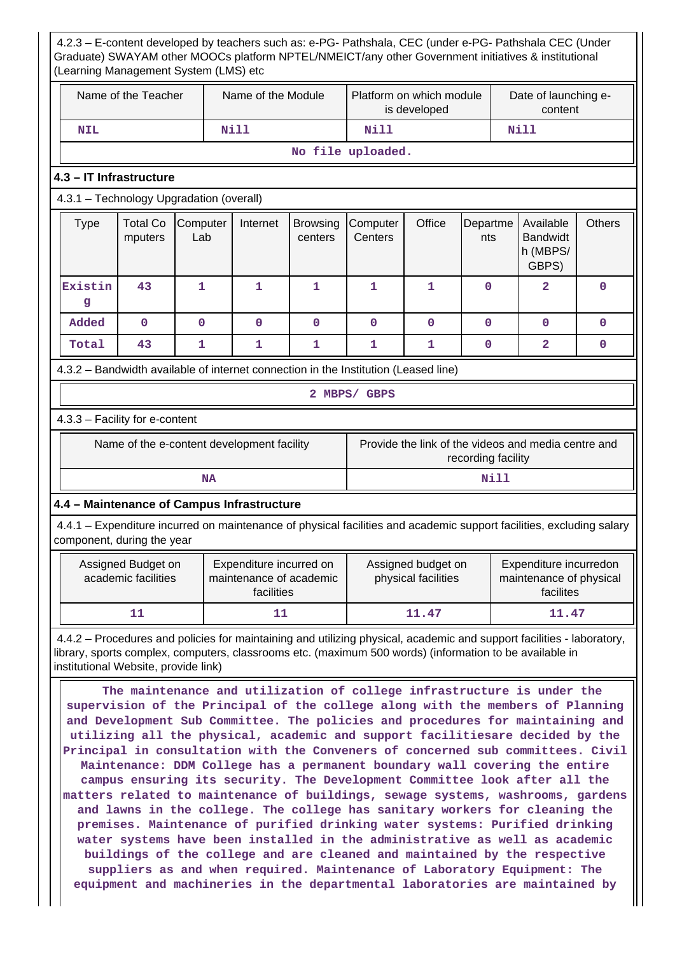4.2.3 – E-content developed by teachers such as: e-PG- Pathshala, CEC (under e-PG- Pathshala CEC (Under Graduate) SWAYAM other MOOCs platform NPTEL/NMEICT/any other Government initiatives & institutional (Learning Management System (LMS) etc Name of the Teacher  $\parallel$  Name of the Module Platform on which module is developed Date of launching econtent  **NIL Nill Nill Nill No file uploaded. 4.3 – IT Infrastructure** 4.3.1 – Technology Upgradation (overall)  $Type \mid Total Co$ mputers **Computer** Lab Internet Browsing centers **Computer Centers** Office Departme nts Available Bandwidt h (MBPS/ GBPS) **Others Existin g 43 1 1 1 1 1 0 2 0 Added 0 0 0 0 0 0 0 0 0 Total 43 1 1 1 1 1 0 2 0** 4.3.2 – Bandwidth available of internet connection in the Institution (Leased line) **2 MBPS/ GBPS** 4.3.3 – Facility for e-content Name of the e-content development facility Frovide the link of the videos and media centre and recording facility **NA** Nill **4.4 – Maintenance of Campus Infrastructure** 4.4.1 – Expenditure incurred on maintenance of physical facilities and academic support facilities, excluding salary component, during the year Assigned Budget on academic facilities Expenditure incurred on maintenance of academic facilities Assigned budget on physical facilities Expenditure incurredon maintenance of physical facilites 11 11 11.47 11.47 4.4.2 – Procedures and policies for maintaining and utilizing physical, academic and support facilities - laboratory, library, sports complex, computers, classrooms etc. (maximum 500 words) (information to be available in institutional Website, provide link) **The maintenance and utilization of college infrastructure is under the supervision of the Principal of the college along with the members of Planning and Development Sub Committee. The policies and procedures for maintaining and utilizing all the physical, academic and support facilitiesare decided by the Principal in consultation with the Conveners of concerned sub committees. Civil Maintenance: DDM College has a permanent boundary wall covering the entire campus ensuring its security. The Development Committee look after all the matters related to maintenance of buildings, sewage systems, washrooms, gardens and lawns in the college. The college has sanitary workers for cleaning the premises. Maintenance of purified drinking water systems: Purified drinking water systems have been installed in the administrative as well as academic buildings of the college and are cleaned and maintained by the respective**

**suppliers as and when required. Maintenance of Laboratory Equipment: The equipment and machineries in the departmental laboratories are maintained by**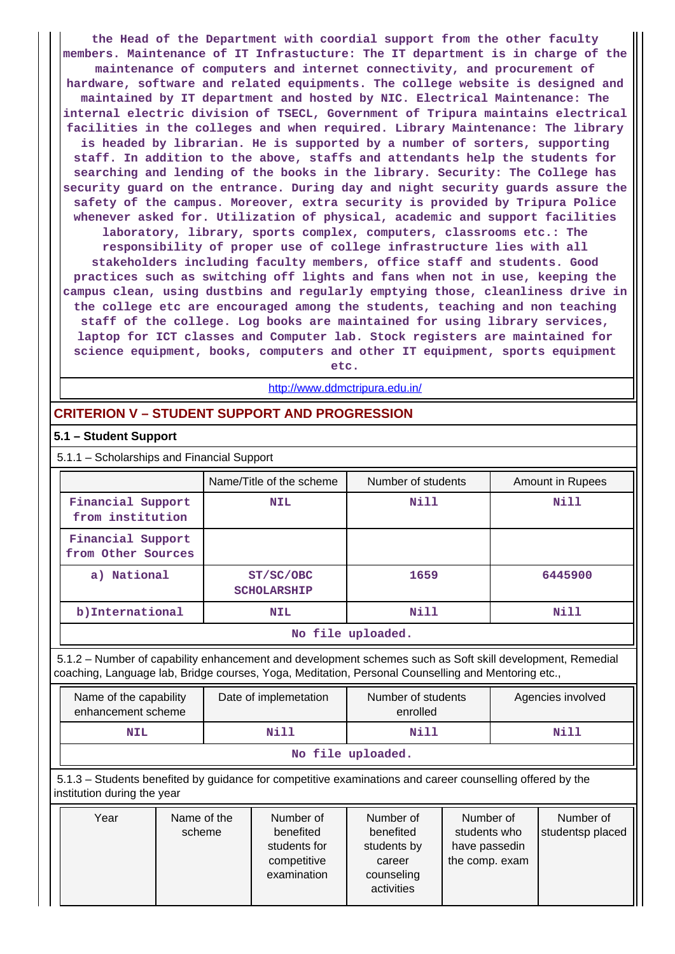**the Head of the Department with coordial support from the other faculty members. Maintenance of IT Infrastucture: The IT department is in charge of the maintenance of computers and internet connectivity, and procurement of hardware, software and related equipments. The college website is designed and maintained by IT department and hosted by NIC. Electrical Maintenance: The internal electric division of TSECL, Government of Tripura maintains electrical facilities in the colleges and when required. Library Maintenance: The library is headed by librarian. He is supported by a number of sorters, supporting staff. In addition to the above, staffs and attendants help the students for searching and lending of the books in the library. Security: The College has security guard on the entrance. During day and night security guards assure the safety of the campus. Moreover, extra security is provided by Tripura Police whenever asked for. Utilization of physical, academic and support facilities laboratory, library, sports complex, computers, classrooms etc.: The responsibility of proper use of college infrastructure lies with all stakeholders including faculty members, office staff and students. Good practices such as switching off lights and fans when not in use, keeping the campus clean, using dustbins and regularly emptying those, cleanliness drive in the college etc are encouraged among the students, teaching and non teaching staff of the college. Log books are maintained for using library services, laptop for ICT classes and Computer lab. Stock registers are maintained for science equipment, books, computers and other IT equipment, sports equipment**

**etc.**

<http://www.ddmctripura.edu.in/>

## **CRITERION V – STUDENT SUPPORT AND PROGRESSION**

#### **5.1 – Student Support**

5.1.1 – Scholarships and Financial Support

|                                         | Name/Title of the scheme        | Number of students | Amount in Rupees |
|-----------------------------------------|---------------------------------|--------------------|------------------|
| Financial Support<br>from institution   | <b>NIL</b>                      | Nill               | Nill             |
| Financial Support<br>from Other Sources |                                 |                    |                  |
| a) National                             | ST/SC/OBC<br><b>SCHOLARSHIP</b> | 1659               | 6445900          |
| b) International                        | <b>NIL</b>                      | Nill               | Nill             |
|                                         |                                 | No file uploaded.  |                  |

 5.1.2 – Number of capability enhancement and development schemes such as Soft skill development, Remedial coaching, Language lab, Bridge courses, Yoga, Meditation, Personal Counselling and Mentoring etc.,

| Name of the capability<br>enhancement scheme | Date of implemetation | Number of students<br>enrolled | Agencies involved |  |  |  |
|----------------------------------------------|-----------------------|--------------------------------|-------------------|--|--|--|
| <b>NIL</b>                                   | Nill                  |                                | Nill              |  |  |  |
| No file uploaded.                            |                       |                                |                   |  |  |  |

 5.1.3 – Students benefited by guidance for competitive examinations and career counselling offered by the institution during the year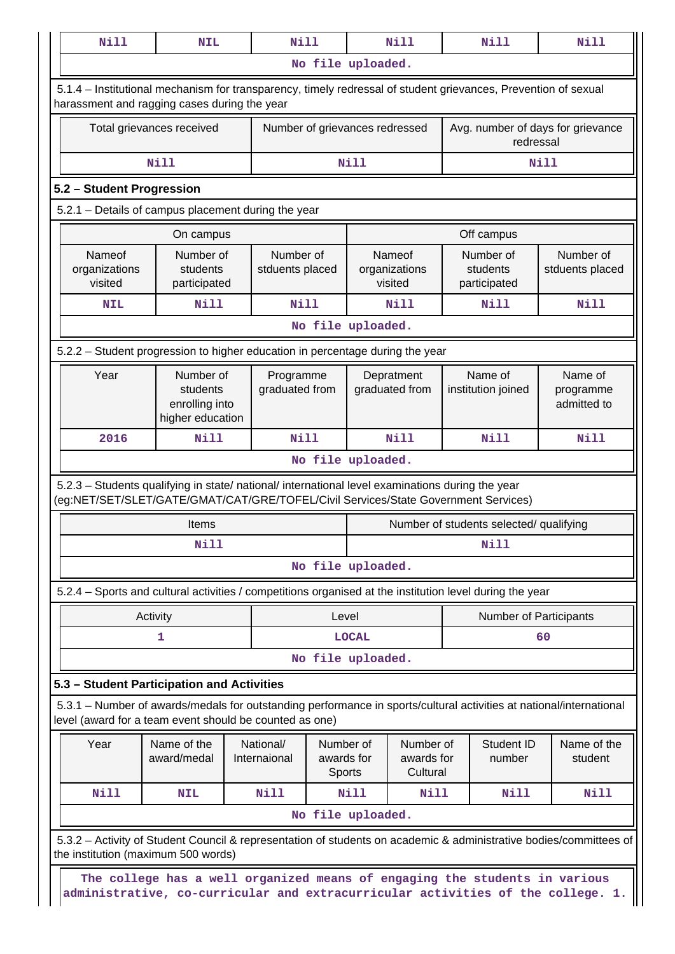|                                    | <b>NIL</b>                                                                                                                                                                             | <b>Nill</b>                  |                                   |                   | Nill                                                                             |  | Nill                                    | Nill                                |
|------------------------------------|----------------------------------------------------------------------------------------------------------------------------------------------------------------------------------------|------------------------------|-----------------------------------|-------------------|----------------------------------------------------------------------------------|--|-----------------------------------------|-------------------------------------|
|                                    |                                                                                                                                                                                        |                              |                                   | No file uploaded. |                                                                                  |  |                                         |                                     |
|                                    | 5.1.4 – Institutional mechanism for transparency, timely redressal of student grievances, Prevention of sexual<br>harassment and ragging cases during the year                         |                              |                                   |                   |                                                                                  |  |                                         |                                     |
|                                    | Total grievances received                                                                                                                                                              |                              |                                   |                   | Avg. number of days for grievance<br>Number of grievances redressed<br>redressal |  |                                         |                                     |
|                                    | Nill                                                                                                                                                                                   |                              |                                   | <b>Nill</b>       |                                                                                  |  |                                         | <b>Nill</b>                         |
| 5.2 - Student Progression          |                                                                                                                                                                                        |                              |                                   |                   |                                                                                  |  |                                         |                                     |
|                                    | 5.2.1 - Details of campus placement during the year                                                                                                                                    |                              |                                   |                   |                                                                                  |  |                                         |                                     |
|                                    | On campus                                                                                                                                                                              |                              |                                   |                   |                                                                                  |  | Off campus                              |                                     |
| Nameof<br>organizations<br>visited | Number of<br>students<br>participated                                                                                                                                                  | Number of<br>stduents placed |                                   |                   | Nameof<br>organizations<br>visited                                               |  | Number of<br>students<br>participated   | Number of<br>stduents placed        |
| <b>NIL</b>                         | N11                                                                                                                                                                                    | Nill                         |                                   |                   | Nill                                                                             |  | Nill                                    | Nill                                |
|                                    |                                                                                                                                                                                        |                              |                                   | No file uploaded. |                                                                                  |  |                                         |                                     |
|                                    | 5.2.2 - Student progression to higher education in percentage during the year                                                                                                          |                              |                                   |                   |                                                                                  |  |                                         |                                     |
| Year                               | Number of<br>students<br>enrolling into<br>higher education                                                                                                                            | Programme<br>graduated from  |                                   |                   | Depratment<br>graduated from                                                     |  | Name of<br>institution joined           | Name of<br>programme<br>admitted to |
| 2016                               | <b>Nill</b>                                                                                                                                                                            | Nill                         |                                   |                   | Nill                                                                             |  | Nill                                    | <b>Nill</b>                         |
|                                    |                                                                                                                                                                                        |                              | No file uploaded.                 |                   |                                                                                  |  |                                         |                                     |
|                                    |                                                                                                                                                                                        |                              |                                   |                   |                                                                                  |  |                                         |                                     |
|                                    | 5.2.3 - Students qualifying in state/ national/ international level examinations during the year<br>(eg:NET/SET/SLET/GATE/GMAT/CAT/GRE/TOFEL/Civil Services/State Government Services) |                              |                                   |                   |                                                                                  |  |                                         |                                     |
|                                    | Items                                                                                                                                                                                  |                              |                                   |                   |                                                                                  |  | Number of students selected/ qualifying |                                     |
|                                    | Nill                                                                                                                                                                                   |                              |                                   |                   |                                                                                  |  | Nill                                    |                                     |
|                                    |                                                                                                                                                                                        |                              |                                   | No file uploaded. |                                                                                  |  |                                         |                                     |
|                                    | 5.2.4 - Sports and cultural activities / competitions organised at the institution level during the year                                                                               |                              |                                   |                   |                                                                                  |  |                                         |                                     |
|                                    | Activity                                                                                                                                                                               |                              | Level                             |                   |                                                                                  |  | <b>Number of Participants</b>           |                                     |
|                                    | 1                                                                                                                                                                                      |                              |                                   | <b>LOCAL</b>      |                                                                                  |  |                                         | 60                                  |
|                                    |                                                                                                                                                                                        |                              |                                   | No file uploaded. |                                                                                  |  |                                         |                                     |
|                                    | 5.3 - Student Participation and Activities                                                                                                                                             |                              |                                   |                   |                                                                                  |  |                                         |                                     |
|                                    | 5.3.1 – Number of awards/medals for outstanding performance in sports/cultural activities at national/international<br>level (award for a team event should be counted as one)         |                              |                                   |                   |                                                                                  |  |                                         |                                     |
| Year                               | Name of the<br>award/medal                                                                                                                                                             | National/<br>Internaional    | Number of<br>awards for<br>Sports |                   | Number of<br>awards for<br>Cultural                                              |  | Student ID<br>number                    | Name of the<br>student              |
| <b>Nill</b>                        | <b>NIL</b>                                                                                                                                                                             | <b>Nill</b>                  |                                   | Nill              | Nill                                                                             |  | <b>Nill</b>                             | Nill                                |
|                                    |                                                                                                                                                                                        |                              |                                   | No file uploaded. |                                                                                  |  |                                         |                                     |
|                                    | 5.3.2 - Activity of Student Council & representation of students on academic & administrative bodies/committees of                                                                     |                              |                                   |                   |                                                                                  |  |                                         |                                     |
|                                    | the institution (maximum 500 words)<br>The college has a well organized means of engaging the students in various                                                                      |                              |                                   |                   |                                                                                  |  |                                         |                                     |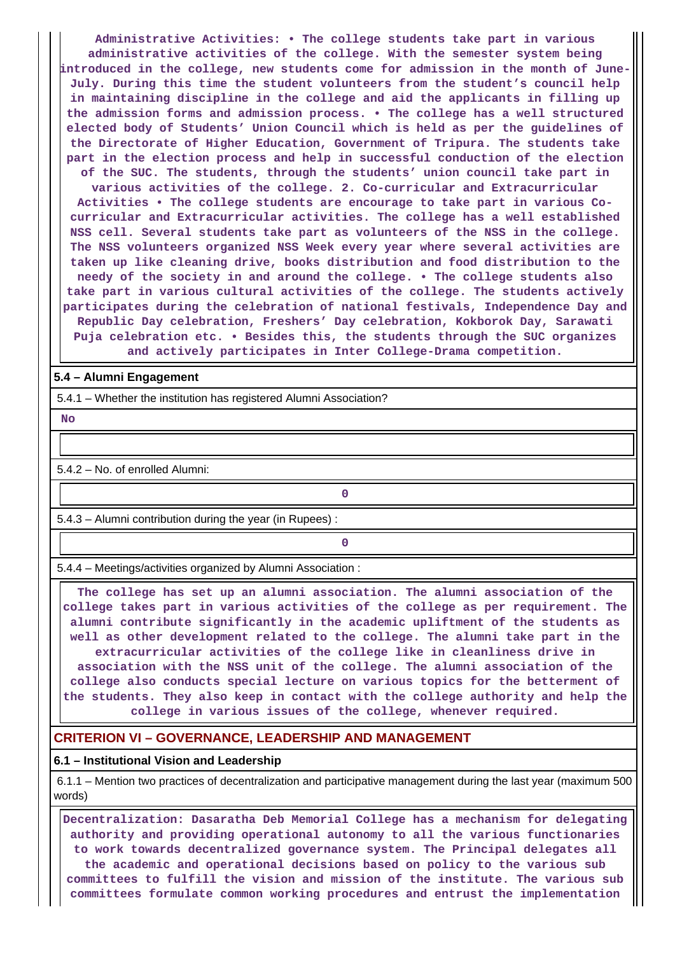**Administrative Activities: • The college students take part in various administrative activities of the college. With the semester system being introduced in the college, new students come for admission in the month of June-July. During this time the student volunteers from the student's council help in maintaining discipline in the college and aid the applicants in filling up the admission forms and admission process. • The college has a well structured elected body of Students' Union Council which is held as per the guidelines of the Directorate of Higher Education, Government of Tripura. The students take part in the election process and help in successful conduction of the election of the SUC. The students, through the students' union council take part in various activities of the college. 2. Co-curricular and Extracurricular Activities • The college students are encourage to take part in various Cocurricular and Extracurricular activities. The college has a well established NSS cell. Several students take part as volunteers of the NSS in the college. The NSS volunteers organized NSS Week every year where several activities are taken up like cleaning drive, books distribution and food distribution to the needy of the society in and around the college. • The college students also take part in various cultural activities of the college. The students actively participates during the celebration of national festivals, Independence Day and**

**Republic Day celebration, Freshers' Day celebration, Kokborok Day, Sarawati Puja celebration etc. • Besides this, the students through the SUC organizes**

**and actively participates in Inter College-Drama competition.**

#### **5.4 – Alumni Engagement**

5.4.1 – Whether the institution has registered Alumni Association?

 **No**

5.4.2 – No. of enrolled Alumni:

5.4.3 – Alumni contribution during the year (in Rupees) :

**0**

**0**

5.4.4 – Meetings/activities organized by Alumni Association :

 **The college has set up an alumni association. The alumni association of the college takes part in various activities of the college as per requirement. The alumni contribute significantly in the academic upliftment of the students as well as other development related to the college. The alumni take part in the extracurricular activities of the college like in cleanliness drive in association with the NSS unit of the college. The alumni association of the college also conducts special lecture on various topics for the betterment of the students. They also keep in contact with the college authority and help the college in various issues of the college, whenever required.**

### **CRITERION VI – GOVERNANCE, LEADERSHIP AND MANAGEMENT**

#### **6.1 – Institutional Vision and Leadership**

 6.1.1 – Mention two practices of decentralization and participative management during the last year (maximum 500 words)

 **Decentralization: Dasaratha Deb Memorial College has a mechanism for delegating authority and providing operational autonomy to all the various functionaries to work towards decentralized governance system. The Principal delegates all the academic and operational decisions based on policy to the various sub committees to fulfill the vision and mission of the institute. The various sub committees formulate common working procedures and entrust the implementation**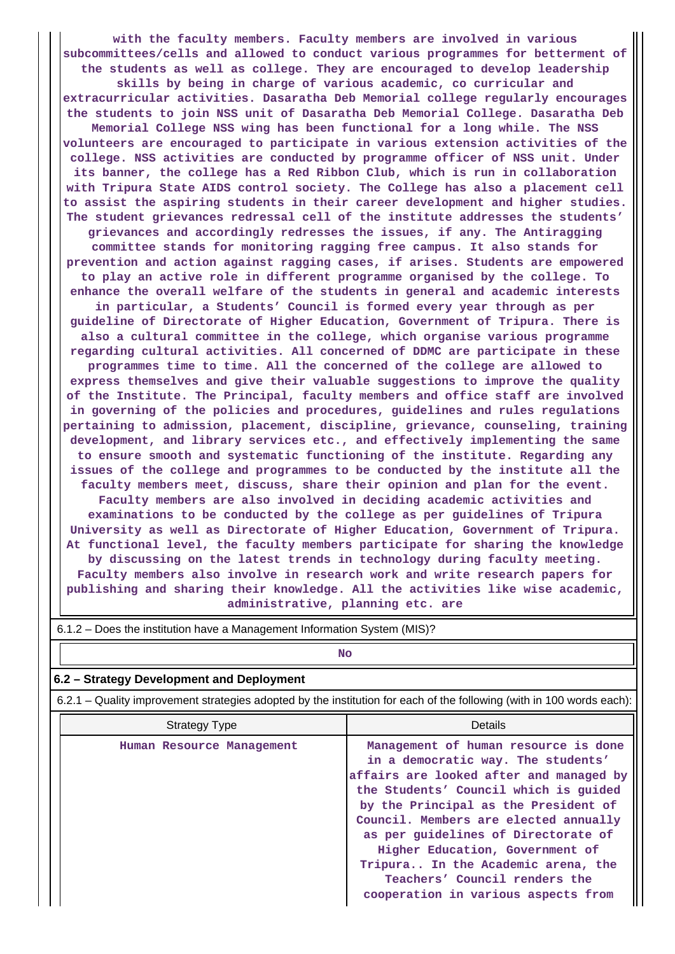**with the faculty members. Faculty members are involved in various subcommittees/cells and allowed to conduct various programmes for betterment of the students as well as college. They are encouraged to develop leadership skills by being in charge of various academic, co curricular and extracurricular activities. Dasaratha Deb Memorial college regularly encourages the students to join NSS unit of Dasaratha Deb Memorial College. Dasaratha Deb Memorial College NSS wing has been functional for a long while. The NSS volunteers are encouraged to participate in various extension activities of the college. NSS activities are conducted by programme officer of NSS unit. Under its banner, the college has a Red Ribbon Club, which is run in collaboration with Tripura State AIDS control society. The College has also a placement cell to assist the aspiring students in their career development and higher studies. The student grievances redressal cell of the institute addresses the students' grievances and accordingly redresses the issues, if any. The Antiragging committee stands for monitoring ragging free campus. It also stands for prevention and action against ragging cases, if arises. Students are empowered to play an active role in different programme organised by the college. To enhance the overall welfare of the students in general and academic interests in particular, a Students' Council is formed every year through as per guideline of Directorate of Higher Education, Government of Tripura. There is also a cultural committee in the college, which organise various programme regarding cultural activities. All concerned of DDMC are participate in these programmes time to time. All the concerned of the college are allowed to express themselves and give their valuable suggestions to improve the quality of the Institute. The Principal, faculty members and office staff are involved in governing of the policies and procedures, guidelines and rules regulations pertaining to admission, placement, discipline, grievance, counseling, training development, and library services etc., and effectively implementing the same to ensure smooth and systematic functioning of the institute. Regarding any issues of the college and programmes to be conducted by the institute all the faculty members meet, discuss, share their opinion and plan for the event. Faculty members are also involved in deciding academic activities and examinations to be conducted by the college as per guidelines of Tripura University as well as Directorate of Higher Education, Government of Tripura. At functional level, the faculty members participate for sharing the knowledge by discussing on the latest trends in technology during faculty meeting. Faculty members also involve in research work and write research papers for publishing and sharing their knowledge. All the activities like wise academic, administrative, planning etc. are**

| <b>No</b>                                                                                                             |                                                                                                                                                                                                                                                                                                                                                                                                                                         |  |  |  |  |  |  |
|-----------------------------------------------------------------------------------------------------------------------|-----------------------------------------------------------------------------------------------------------------------------------------------------------------------------------------------------------------------------------------------------------------------------------------------------------------------------------------------------------------------------------------------------------------------------------------|--|--|--|--|--|--|
| 6.2 - Strategy Development and Deployment                                                                             |                                                                                                                                                                                                                                                                                                                                                                                                                                         |  |  |  |  |  |  |
| 6.2.1 – Quality improvement strategies adopted by the institution for each of the following (with in 100 words each): |                                                                                                                                                                                                                                                                                                                                                                                                                                         |  |  |  |  |  |  |
| Strategy Type                                                                                                         | Details                                                                                                                                                                                                                                                                                                                                                                                                                                 |  |  |  |  |  |  |
| Human Resource Management                                                                                             | Management of human resource is done<br>in a democratic way. The students'<br>affairs are looked after and managed by<br>the Students' Council which is guided<br>by the Principal as the President of<br>Council. Members are elected annually<br>as per quidelines of Directorate of<br>Higher Education, Government of<br>Tripura In the Academic arena, the<br>Teachers' Council renders the<br>cooperation in various aspects from |  |  |  |  |  |  |

6.1.2 – Does the institution have a Management Information System (MIS)?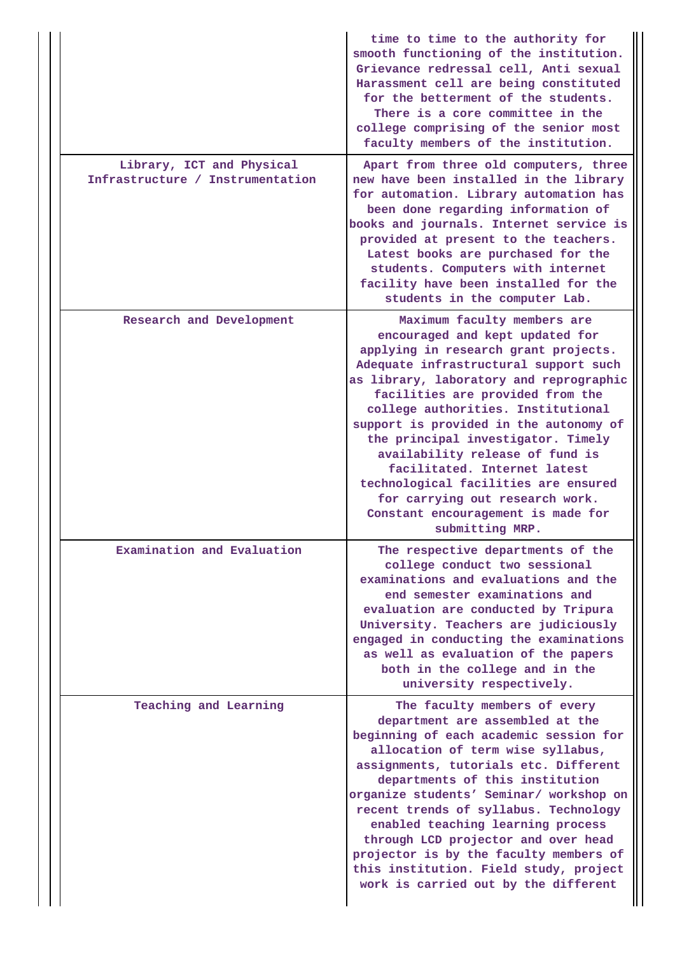|                                                               | time to time to the authority for<br>smooth functioning of the institution.<br>Grievance redressal cell, Anti sexual<br>Harassment cell are being constituted<br>for the betterment of the students.<br>There is a core committee in the<br>college comprising of the senior most<br>faculty members of the institution.                                                                                                                                                                                                                                    |
|---------------------------------------------------------------|-------------------------------------------------------------------------------------------------------------------------------------------------------------------------------------------------------------------------------------------------------------------------------------------------------------------------------------------------------------------------------------------------------------------------------------------------------------------------------------------------------------------------------------------------------------|
| Library, ICT and Physical<br>Infrastructure / Instrumentation | Apart from three old computers, three<br>new have been installed in the library<br>for automation. Library automation has<br>been done regarding information of<br>books and journals. Internet service is<br>provided at present to the teachers.<br>Latest books are purchased for the<br>students. Computers with internet<br>facility have been installed for the<br>students in the computer Lab.                                                                                                                                                      |
| Research and Development                                      | Maximum faculty members are<br>encouraged and kept updated for<br>applying in research grant projects.<br>Adequate infrastructural support such<br>as library, laboratory and reprographic<br>facilities are provided from the<br>college authorities. Institutional<br>support is provided in the autonomy of<br>the principal investigator. Timely<br>availability release of fund is<br>facilitated. Internet latest<br>technological facilities are ensured<br>for carrying out research work.<br>Constant encouragement is made for<br>submitting MRP. |
| Examination and Evaluation                                    | The respective departments of the<br>college conduct two sessional<br>examinations and evaluations and the<br>end semester examinations and<br>evaluation are conducted by Tripura<br>University. Teachers are judiciously<br>engaged in conducting the examinations<br>as well as evaluation of the papers<br>both in the college and in the<br>university respectively.                                                                                                                                                                                   |
| Teaching and Learning                                         | The faculty members of every<br>department are assembled at the<br>beginning of each academic session for<br>allocation of term wise syllabus,<br>assignments, tutorials etc. Different<br>departments of this institution<br>organize students' Seminar/ workshop on<br>recent trends of syllabus. Technology<br>enabled teaching learning process<br>through LCD projector and over head<br>projector is by the faculty members of<br>this institution. Field study, project<br>work is carried out by the different                                      |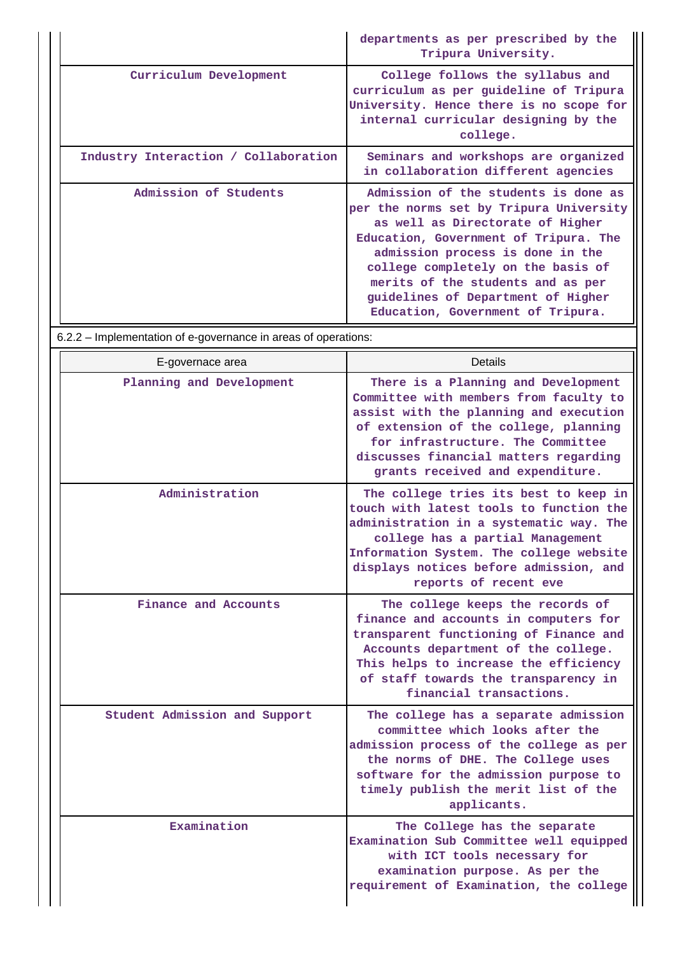|                                      | departments as per prescribed by the<br>Tripura University.                                                                                                                                                                                                                                                                                            |
|--------------------------------------|--------------------------------------------------------------------------------------------------------------------------------------------------------------------------------------------------------------------------------------------------------------------------------------------------------------------------------------------------------|
| Curriculum Development               | College follows the syllabus and<br>curriculum as per guideline of Tripura<br>University. Hence there is no scope for<br>internal curricular designing by the<br>college.                                                                                                                                                                              |
| Industry Interaction / Collaboration | Seminars and workshops are organized<br>in collaboration different agencies                                                                                                                                                                                                                                                                            |
| Admission of Students                | Admission of the students is done as<br>per the norms set by Tripura University<br>as well as Directorate of Higher<br>Education, Government of Tripura. The<br>admission process is done in the<br>college completely on the basis of<br>merits of the students and as per<br>guidelines of Department of Higher<br>Education, Government of Tripura. |

6.2.2 – Implementation of e-governance in areas of operations:

| E-governace area              | <b>Details</b>                                                                                                                                                                                                                                                                     |
|-------------------------------|------------------------------------------------------------------------------------------------------------------------------------------------------------------------------------------------------------------------------------------------------------------------------------|
| Planning and Development      | There is a Planning and Development<br>Committee with members from faculty to<br>assist with the planning and execution<br>of extension of the college, planning<br>for infrastructure. The Committee<br>discusses financial matters regarding<br>grants received and expenditure. |
| Administration                | The college tries its best to keep in<br>touch with latest tools to function the<br>administration in a systematic way. The<br>college has a partial Management<br>Information System. The college website<br>displays notices before admission, and<br>reports of recent eve      |
| Finance and Accounts          | The college keeps the records of<br>finance and accounts in computers for<br>transparent functioning of Finance and<br>Accounts department of the college.<br>This helps to increase the efficiency<br>of staff towards the transparency in<br>financial transactions.             |
| Student Admission and Support | The college has a separate admission<br>committee which looks after the<br>admission process of the college as per<br>the norms of DHE. The College uses<br>software for the admission purpose to<br>timely publish the merit list of the<br>applicants.                           |
| Examination                   | The College has the separate<br>Examination Sub Committee well equipped<br>with ICT tools necessary for<br>examination purpose. As per the<br>requirement of Examination, the college                                                                                              |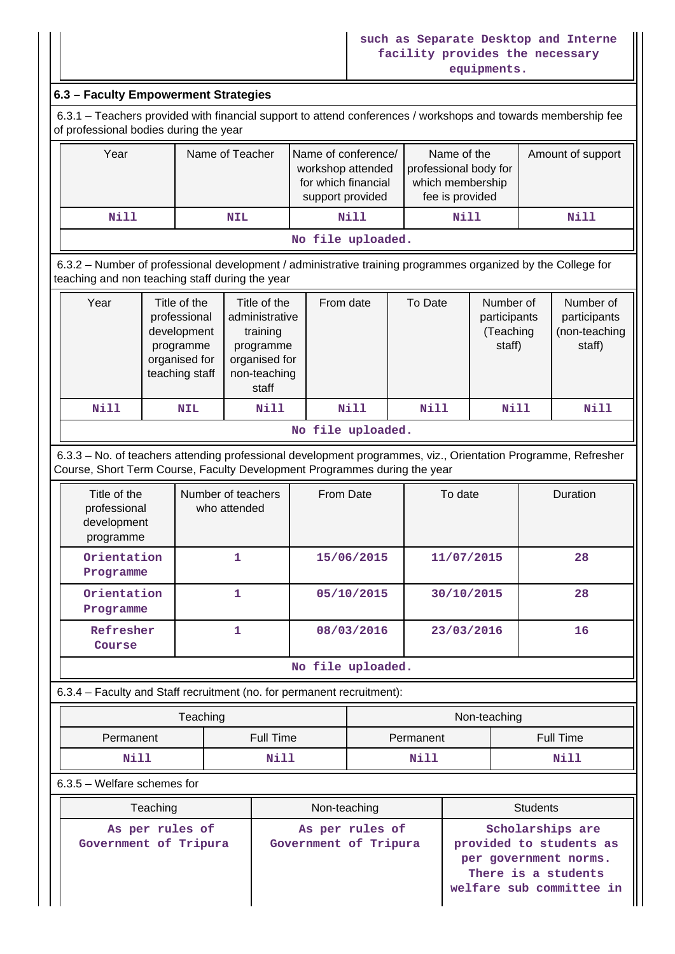### **such as Separate Desktop and Interne facility provides the necessary equipments.**

## **6.3 – Faculty Empowerment Strategies**

 6.3.1 – Teachers provided with financial support to attend conferences / workshops and towards membership fee of professional bodies during the year

| Year              | Name of Teacher | Name of conference/<br>workshop attended<br>for which financial<br>support provided | Name of the<br>professional body for<br>which membership<br>fee is provided | Amount of support |  |  |
|-------------------|-----------------|-------------------------------------------------------------------------------------|-----------------------------------------------------------------------------|-------------------|--|--|
| Nill              | <b>NIL</b>      | Nill                                                                                | Nill                                                                        | Nill              |  |  |
| No file uploaded. |                 |                                                                                     |                                                                             |                   |  |  |

 6.3.2 – Number of professional development / administrative training programmes organized by the College for teaching and non teaching staff during the year

| Year | Title of the<br>professional<br>development<br>programme<br>organised for<br>teaching staff | Title of the<br>administrative<br>training<br>programme<br>organised for<br>non-teaching<br>staff | From date | To Date | Number of<br>participants<br>(Teaching<br>staff) | Number of<br>participants<br>(non-teaching<br>staff) |  |  |  |  |
|------|---------------------------------------------------------------------------------------------|---------------------------------------------------------------------------------------------------|-----------|---------|--------------------------------------------------|------------------------------------------------------|--|--|--|--|
| Nill | <b>NIL</b>                                                                                  | Nill                                                                                              | Nill      | Nill    | Nill                                             | Nill                                                 |  |  |  |  |
|      | - - -                                                                                       |                                                                                                   |           |         |                                                  |                                                      |  |  |  |  |

**No file uploaded.**

 6.3.3 – No. of teachers attending professional development programmes, viz., Orientation Programme, Refresher Course, Short Term Course, Faculty Development Programmes during the year

| Title of the<br>professional<br>development<br>programme | Number of teachers<br>who attended | From Date  | To date    | <b>Duration</b> |
|----------------------------------------------------------|------------------------------------|------------|------------|-----------------|
| Orientation<br>Programme                                 |                                    | 15/06/2015 | 11/07/2015 | 28              |
| Orientation<br>Programme                                 |                                    | 05/10/2015 | 30/10/2015 | 28              |
| Refresher<br>Course                                      |                                    | 08/03/2016 | 23/03/2016 | 16              |

#### **No file uploaded.**

6.3.4 – Faculty and Staff recruitment (no. for permanent recruitment):

|                        | Teaching | Non-teaching |                  |  |  |
|------------------------|----------|--------------|------------------|--|--|
| Full Time<br>Permanent |          | Permanent    | <b>Full Time</b> |  |  |
| Nill                   | Nill     | <b>Nill</b>  | Nill             |  |  |

6.3.5 – Welfare schemes for

| Teaching                                 | Non-teaching                             | <b>Students</b>                                                                                                         |  |  |
|------------------------------------------|------------------------------------------|-------------------------------------------------------------------------------------------------------------------------|--|--|
| As per rules of<br>Government of Tripura | As per rules of<br>Government of Tripura | Scholarships are<br>provided to students as<br>per government norms.<br>There is a students<br>welfare sub committee in |  |  |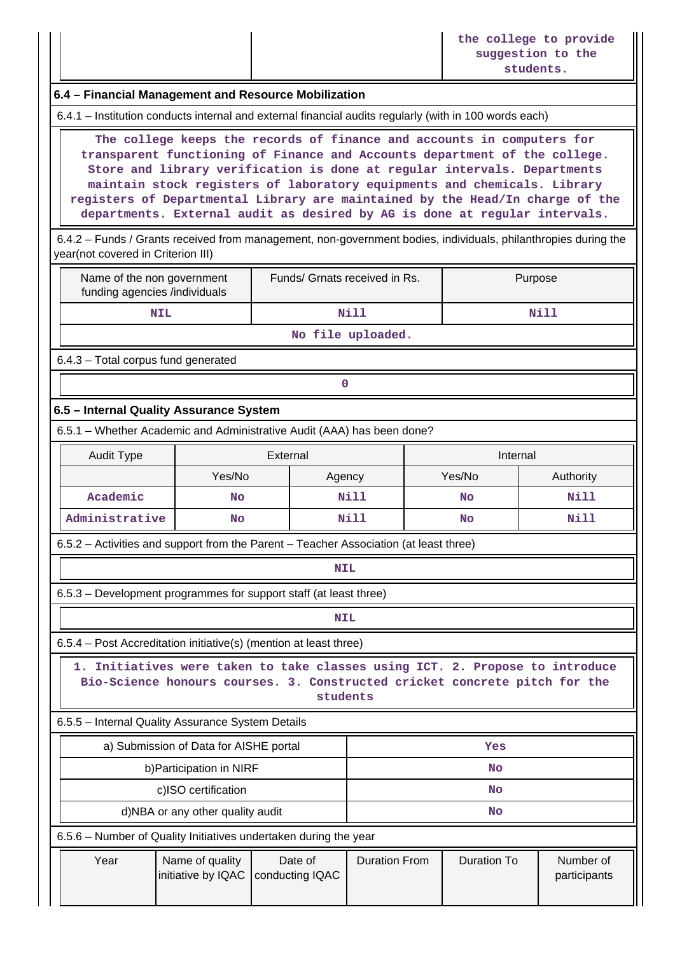|                                                                                                                                                                                                                                                                                                                                                                                                                                                                                                                                                                                               |           |                               |           | the college to provide<br>suggestion to the<br>students. |  |  |  |  |
|-----------------------------------------------------------------------------------------------------------------------------------------------------------------------------------------------------------------------------------------------------------------------------------------------------------------------------------------------------------------------------------------------------------------------------------------------------------------------------------------------------------------------------------------------------------------------------------------------|-----------|-------------------------------|-----------|----------------------------------------------------------|--|--|--|--|
| 6.4 - Financial Management and Resource Mobilization                                                                                                                                                                                                                                                                                                                                                                                                                                                                                                                                          |           |                               |           |                                                          |  |  |  |  |
| 6.4.1 - Institution conducts internal and external financial audits regularly (with in 100 words each)                                                                                                                                                                                                                                                                                                                                                                                                                                                                                        |           |                               |           |                                                          |  |  |  |  |
| The college keeps the records of finance and accounts in computers for<br>transparent functioning of Finance and Accounts department of the college.<br>Store and library verification is done at regular intervals. Departments<br>maintain stock registers of laboratory equipments and chemicals. Library<br>registers of Departmental Library are maintained by the Head/In charge of the<br>departments. External audit as desired by AG is done at regular intervals.<br>6.4.2 - Funds / Grants received from management, non-government bodies, individuals, philanthropies during the |           |                               |           |                                                          |  |  |  |  |
| year(not covered in Criterion III)                                                                                                                                                                                                                                                                                                                                                                                                                                                                                                                                                            |           |                               |           |                                                          |  |  |  |  |
| Name of the non government<br>funding agencies /individuals                                                                                                                                                                                                                                                                                                                                                                                                                                                                                                                                   |           | Funds/ Grnats received in Rs. |           | Purpose                                                  |  |  |  |  |
| <b>NIL</b>                                                                                                                                                                                                                                                                                                                                                                                                                                                                                                                                                                                    |           | <b>Nill</b>                   |           | Nill                                                     |  |  |  |  |
|                                                                                                                                                                                                                                                                                                                                                                                                                                                                                                                                                                                               |           | No file uploaded.             |           |                                                          |  |  |  |  |
| 6.4.3 - Total corpus fund generated                                                                                                                                                                                                                                                                                                                                                                                                                                                                                                                                                           |           |                               |           |                                                          |  |  |  |  |
|                                                                                                                                                                                                                                                                                                                                                                                                                                                                                                                                                                                               |           | 0                             |           |                                                          |  |  |  |  |
| 6.5 - Internal Quality Assurance System                                                                                                                                                                                                                                                                                                                                                                                                                                                                                                                                                       |           |                               |           |                                                          |  |  |  |  |
| 6.5.1 - Whether Academic and Administrative Audit (AAA) has been done?                                                                                                                                                                                                                                                                                                                                                                                                                                                                                                                        |           |                               |           |                                                          |  |  |  |  |
| <b>Audit Type</b>                                                                                                                                                                                                                                                                                                                                                                                                                                                                                                                                                                             |           | External                      |           | Internal                                                 |  |  |  |  |
|                                                                                                                                                                                                                                                                                                                                                                                                                                                                                                                                                                                               | Yes/No    | Agency                        | Yes/No    | Authority                                                |  |  |  |  |
| Academic                                                                                                                                                                                                                                                                                                                                                                                                                                                                                                                                                                                      | <b>No</b> | Nill                          | No        | Nill                                                     |  |  |  |  |
| Administrative                                                                                                                                                                                                                                                                                                                                                                                                                                                                                                                                                                                | <b>No</b> | Nill                          | <b>No</b> | Nill                                                     |  |  |  |  |

6.5.2 – Activities and support from the Parent – Teacher Association (at least three)

## **NIL**

6.5.3 – Development programmes for support staff (at least three)

# **NIL**

6.5.4 – Post Accreditation initiative(s) (mention at least three)

 **1. Initiatives were taken to take classes using ICT. 2. Propose to introduce Bio-Science honours courses. 3. Constructed cricket concrete pitch for the students**

6.5.5 – Internal Quality Assurance System Details

|                                                                  | a) Submission of Data for AISHE portal |                            | Yes                  |             |                           |  |  |
|------------------------------------------------------------------|----------------------------------------|----------------------------|----------------------|-------------|---------------------------|--|--|
|                                                                  | b) Participation in NIRF               |                            | <b>No</b>            |             |                           |  |  |
|                                                                  | c)ISO certification                    |                            | <b>No</b>            |             |                           |  |  |
|                                                                  | d)NBA or any other quality audit       |                            | <b>No</b>            |             |                           |  |  |
| 6.5.6 - Number of Quality Initiatives undertaken during the year |                                        |                            |                      |             |                           |  |  |
| Year                                                             | Name of quality<br>initiative by IQAC  | Date of<br>conducting IQAC | <b>Duration From</b> | Duration To | Number of<br>participants |  |  |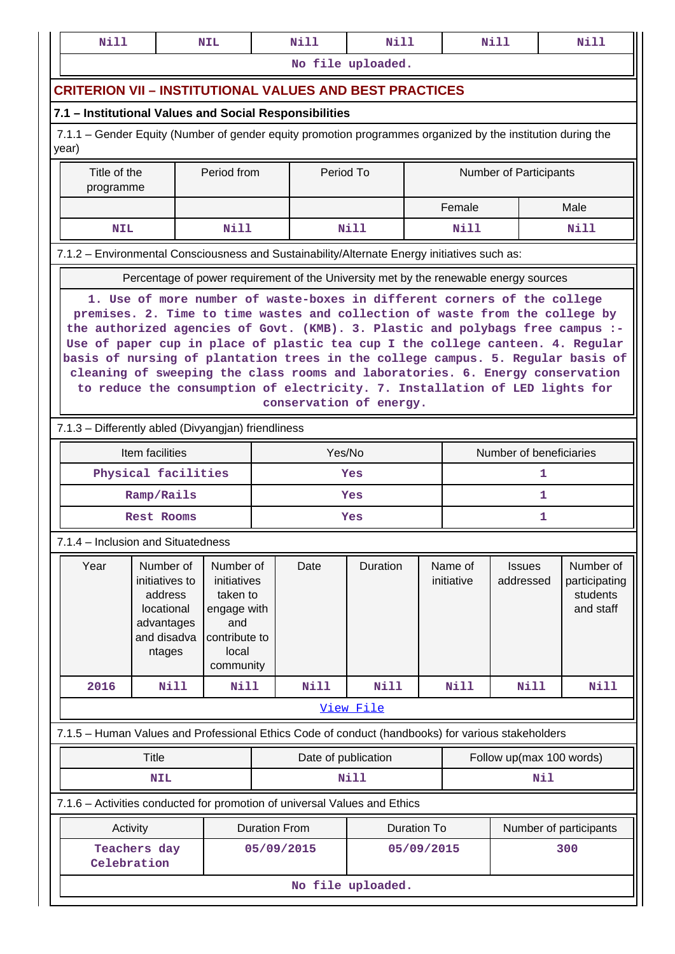|                                                       | Nill                                                                                                                                                                                                                                                                                                                                                                                                                                                                                                                           |             | <b>NIL</b>                                                                                        |                      | Nill                | <b>Nill</b>                                                                                       |                    |                                                     | <b>Nill</b>             | Nill                                                                                                        |  |
|-------------------------------------------------------|--------------------------------------------------------------------------------------------------------------------------------------------------------------------------------------------------------------------------------------------------------------------------------------------------------------------------------------------------------------------------------------------------------------------------------------------------------------------------------------------------------------------------------|-------------|---------------------------------------------------------------------------------------------------|----------------------|---------------------|---------------------------------------------------------------------------------------------------|--------------------|-----------------------------------------------------|-------------------------|-------------------------------------------------------------------------------------------------------------|--|
|                                                       |                                                                                                                                                                                                                                                                                                                                                                                                                                                                                                                                |             |                                                                                                   |                      |                     | No file uploaded.                                                                                 |                    |                                                     |                         |                                                                                                             |  |
|                                                       | <b>CRITERION VII – INSTITUTIONAL VALUES AND BEST PRACTICES</b>                                                                                                                                                                                                                                                                                                                                                                                                                                                                 |             |                                                                                                   |                      |                     |                                                                                                   |                    |                                                     |                         |                                                                                                             |  |
|                                                       | 7.1 – Institutional Values and Social Responsibilities                                                                                                                                                                                                                                                                                                                                                                                                                                                                         |             |                                                                                                   |                      |                     |                                                                                                   |                    |                                                     |                         |                                                                                                             |  |
| year)                                                 |                                                                                                                                                                                                                                                                                                                                                                                                                                                                                                                                |             |                                                                                                   |                      |                     |                                                                                                   |                    |                                                     |                         | 7.1.1 – Gender Equity (Number of gender equity promotion programmes organized by the institution during the |  |
| Title of the<br>Period from<br>Period To<br>programme |                                                                                                                                                                                                                                                                                                                                                                                                                                                                                                                                |             |                                                                                                   |                      |                     |                                                                                                   |                    |                                                     | Number of Participants  |                                                                                                             |  |
|                                                       |                                                                                                                                                                                                                                                                                                                                                                                                                                                                                                                                |             |                                                                                                   |                      |                     |                                                                                                   |                    | Female                                              |                         | Male                                                                                                        |  |
|                                                       | <b>NIL</b>                                                                                                                                                                                                                                                                                                                                                                                                                                                                                                                     |             | <b>Nill</b>                                                                                       |                      |                     | Nill                                                                                              |                    | Nill                                                |                         | Nill                                                                                                        |  |
|                                                       |                                                                                                                                                                                                                                                                                                                                                                                                                                                                                                                                |             |                                                                                                   |                      |                     | 7.1.2 - Environmental Consciousness and Sustainability/Alternate Energy initiatives such as:      |                    |                                                     |                         |                                                                                                             |  |
|                                                       |                                                                                                                                                                                                                                                                                                                                                                                                                                                                                                                                |             |                                                                                                   |                      |                     | Percentage of power requirement of the University met by the renewable energy sources             |                    |                                                     |                         |                                                                                                             |  |
|                                                       | premises. 2. Time to time wastes and collection of waste from the college by<br>the authorized agencies of Govt. (KMB). 3. Plastic and polybags free campus :-<br>Use of paper cup in place of plastic tea cup I the college canteen. 4. Regular<br>basis of nursing of plantation trees in the college campus. 5. Regular basis of<br>cleaning of sweeping the class rooms and laboratories. 6. Energy conservation<br>to reduce the consumption of electricity. 7. Installation of LED lights for<br>conservation of energy. |             |                                                                                                   |                      |                     |                                                                                                   |                    |                                                     |                         |                                                                                                             |  |
|                                                       | 7.1.3 - Differently abled (Divyangjan) friendliness                                                                                                                                                                                                                                                                                                                                                                                                                                                                            |             |                                                                                                   |                      |                     |                                                                                                   |                    |                                                     |                         |                                                                                                             |  |
|                                                       | Item facilities                                                                                                                                                                                                                                                                                                                                                                                                                                                                                                                |             |                                                                                                   |                      | Yes/No              |                                                                                                   |                    |                                                     | Number of beneficiaries |                                                                                                             |  |
|                                                       | Physical facilities                                                                                                                                                                                                                                                                                                                                                                                                                                                                                                            |             |                                                                                                   |                      |                     | Yes                                                                                               | 1                  |                                                     |                         |                                                                                                             |  |
|                                                       | Ramp/Rails                                                                                                                                                                                                                                                                                                                                                                                                                                                                                                                     |             |                                                                                                   |                      |                     | Yes                                                                                               |                    | 1                                                   |                         |                                                                                                             |  |
|                                                       | <b>Rest Rooms</b>                                                                                                                                                                                                                                                                                                                                                                                                                                                                                                              |             |                                                                                                   |                      |                     | Yes                                                                                               |                    |                                                     | 1                       |                                                                                                             |  |
|                                                       | 7.1.4 – Inclusion and Situatedness                                                                                                                                                                                                                                                                                                                                                                                                                                                                                             |             |                                                                                                   |                      |                     |                                                                                                   |                    |                                                     |                         |                                                                                                             |  |
| Year                                                  | Number of<br>initiatives to<br>address<br>locational<br>advantages<br>and disadva<br>ntages                                                                                                                                                                                                                                                                                                                                                                                                                                    |             | Number of<br>initiatives<br>taken to<br>engage with<br>and<br>contribute to<br>local<br>community |                      | Date                | Duration                                                                                          |                    | Name of<br><b>Issues</b><br>initiative<br>addressed |                         | Number of<br>participating<br>students<br>and staff                                                         |  |
| 2016                                                  |                                                                                                                                                                                                                                                                                                                                                                                                                                                                                                                                | <b>Nill</b> | <b>Nill</b>                                                                                       |                      | Nill                | Nill                                                                                              |                    | Nill                                                | Nill                    | <b>Nill</b>                                                                                                 |  |
|                                                       |                                                                                                                                                                                                                                                                                                                                                                                                                                                                                                                                |             |                                                                                                   |                      |                     | View File                                                                                         |                    |                                                     |                         |                                                                                                             |  |
|                                                       |                                                                                                                                                                                                                                                                                                                                                                                                                                                                                                                                |             |                                                                                                   |                      |                     | 7.1.5 - Human Values and Professional Ethics Code of conduct (handbooks) for various stakeholders |                    |                                                     |                         |                                                                                                             |  |
|                                                       | <b>Title</b>                                                                                                                                                                                                                                                                                                                                                                                                                                                                                                                   |             |                                                                                                   |                      | Date of publication |                                                                                                   |                    |                                                     |                         | Follow up(max 100 words)                                                                                    |  |
| <b>NIL</b>                                            |                                                                                                                                                                                                                                                                                                                                                                                                                                                                                                                                |             |                                                                                                   |                      | Nill                |                                                                                                   |                    |                                                     | Nil                     |                                                                                                             |  |
|                                                       |                                                                                                                                                                                                                                                                                                                                                                                                                                                                                                                                |             |                                                                                                   |                      |                     | 7.1.6 - Activities conducted for promotion of universal Values and Ethics                         |                    |                                                     |                         |                                                                                                             |  |
|                                                       | Activity                                                                                                                                                                                                                                                                                                                                                                                                                                                                                                                       |             |                                                                                                   | <b>Duration From</b> |                     |                                                                                                   | <b>Duration To</b> |                                                     |                         | Number of participants                                                                                      |  |
|                                                       | Teachers day<br>Celebration                                                                                                                                                                                                                                                                                                                                                                                                                                                                                                    |             |                                                                                                   | 05/09/2015           |                     |                                                                                                   | 05/09/2015         |                                                     |                         | 300                                                                                                         |  |
|                                                       |                                                                                                                                                                                                                                                                                                                                                                                                                                                                                                                                |             |                                                                                                   |                      |                     | No file uploaded.                                                                                 |                    |                                                     |                         |                                                                                                             |  |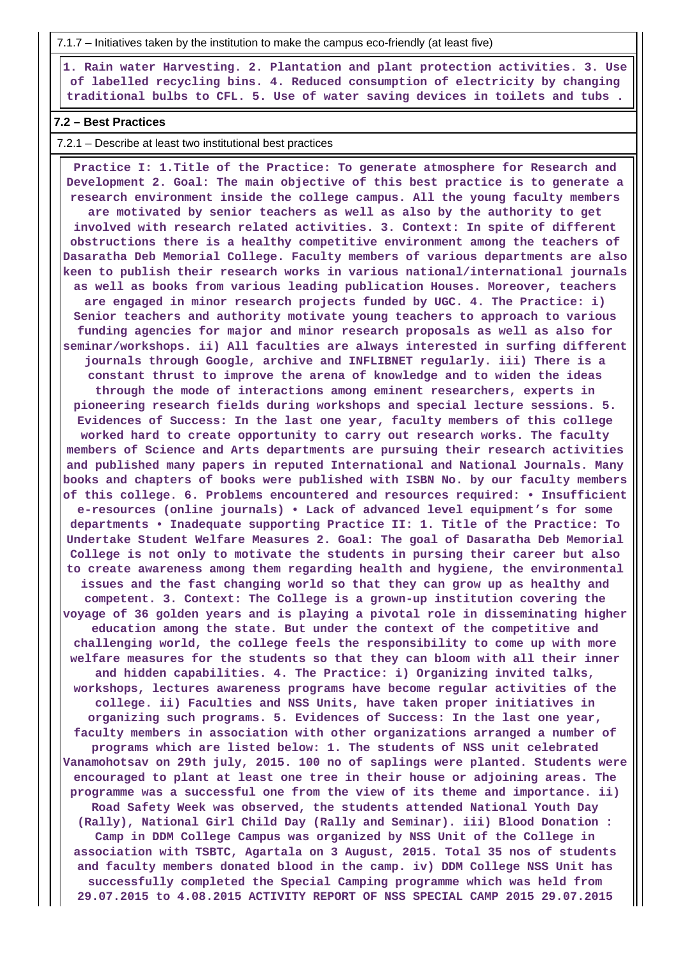7.1.7 – Initiatives taken by the institution to make the campus eco-friendly (at least five)

 **1. Rain water Harvesting. 2. Plantation and plant protection activities. 3. Use of labelled recycling bins. 4. Reduced consumption of electricity by changing traditional bulbs to CFL. 5. Use of water saving devices in toilets and tubs .**

### **7.2 – Best Practices**

7.2.1 – Describe at least two institutional best practices

 **Practice I: 1.Title of the Practice: To generate atmosphere for Research and Development 2. Goal: The main objective of this best practice is to generate a research environment inside the college campus. All the young faculty members are motivated by senior teachers as well as also by the authority to get involved with research related activities. 3. Context: In spite of different obstructions there is a healthy competitive environment among the teachers of Dasaratha Deb Memorial College. Faculty members of various departments are also keen to publish their research works in various national/international journals as well as books from various leading publication Houses. Moreover, teachers are engaged in minor research projects funded by UGC. 4. The Practice: i) Senior teachers and authority motivate young teachers to approach to various funding agencies for major and minor research proposals as well as also for seminar/workshops. ii) All faculties are always interested in surfing different journals through Google, archive and INFLIBNET regularly. iii) There is a constant thrust to improve the arena of knowledge and to widen the ideas through the mode of interactions among eminent researchers, experts in pioneering research fields during workshops and special lecture sessions. 5. Evidences of Success: In the last one year, faculty members of this college worked hard to create opportunity to carry out research works. The faculty members of Science and Arts departments are pursuing their research activities and published many papers in reputed International and National Journals. Many books and chapters of books were published with ISBN No. by our faculty members of this college. 6. Problems encountered and resources required: • Insufficient e-resources (online journals) • Lack of advanced level equipment's for some departments • Inadequate supporting Practice II: 1. Title of the Practice: To Undertake Student Welfare Measures 2. Goal: The goal of Dasaratha Deb Memorial College is not only to motivate the students in pursing their career but also to create awareness among them regarding health and hygiene, the environmental issues and the fast changing world so that they can grow up as healthy and competent. 3. Context: The College is a grown-up institution covering the voyage of 36 golden years and is playing a pivotal role in disseminating higher education among the state. But under the context of the competitive and challenging world, the college feels the responsibility to come up with more welfare measures for the students so that they can bloom with all their inner and hidden capabilities. 4. The Practice: i) Organizing invited talks, workshops, lectures awareness programs have become regular activities of the college. ii) Faculties and NSS Units, have taken proper initiatives in organizing such programs. 5. Evidences of Success: In the last one year, faculty members in association with other organizations arranged a number of programs which are listed below: 1. The students of NSS unit celebrated Vanamohotsav on 29th july, 2015. 100 no of saplings were planted. Students were encouraged to plant at least one tree in their house or adjoining areas. The programme was a successful one from the view of its theme and importance. ii) Road Safety Week was observed, the students attended National Youth Day (Rally), National Girl Child Day (Rally and Seminar). iii) Blood Donation : Camp in DDM College Campus was organized by NSS Unit of the College in association with TSBTC, Agartala on 3 August, 2015. Total 35 nos of students and faculty members donated blood in the camp. iv) DDM College NSS Unit has successfully completed the Special Camping programme which was held from 29.07.2015 to 4.08.2015 ACTIVITY REPORT OF NSS SPECIAL CAMP 2015 29.07.2015**